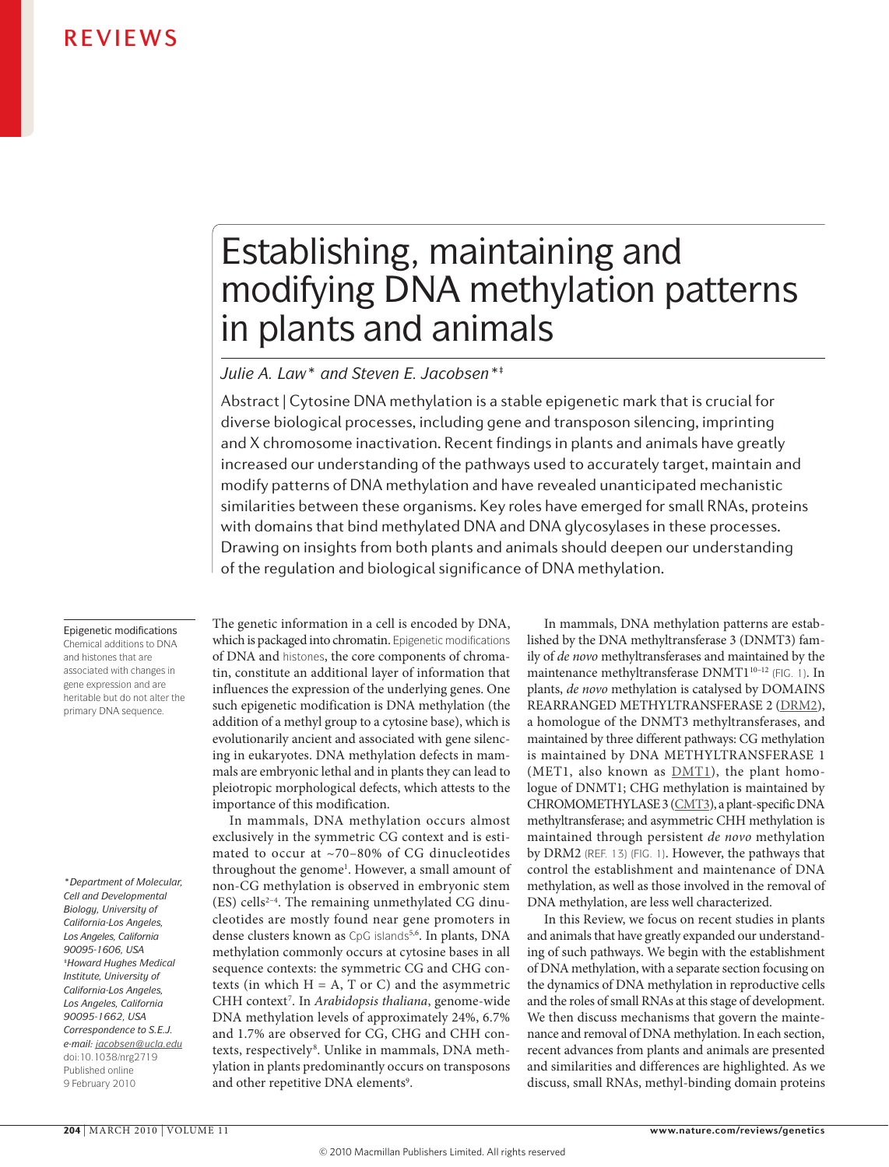# Establishing, maintaining and modifying DNA methylation patterns in plants and animals

### *Julie A. Law\* and Steven E. Jacobsen\*‡*

Abstract | Cytosine DNA methylation is a stable epigenetic mark that is crucial for diverse biological processes, including gene and transposon silencing, imprinting and X chromosome inactivation. Recent findings in plants and animals have greatly increased our understanding of the pathways used to accurately target, maintain and modify patterns of DNA methylation and have revealed unanticipated mechanistic similarities between these organisms. Key roles have emerged for small RNAs, proteins with domains that bind methylated DNA and DNA glycosylases in these processes. Drawing on insights from both plants and animals should deepen our understanding of the regulation and biological significance of DNA methylation.

Epigenetic modifications Chemical additions to DNA and histones that are associated with changes in gene expression and are heritable but do not alter the primary DNA sequence.

*\*Department of Molecular, Cell and Developmental Biology, University of California-Los Angeles, Los Angeles, California 90095-1606, USA ‡Howard Hughes Medical Institute, University of California-Los Angeles, Los Angeles, California 90095-1662, USA Correspondence to S.E.J. e-mail: jacobsen@ucla.edu* doi:10.1038/nrg2719 Published online 9 February 2010

The genetic information in a cell is encoded by DNA, which is packaged into chromatin. Epigenetic modifications of DNA and histones, the core components of chromatin, constitute an additional layer of information that influences the expression of the underlying genes. One such epigenetic modification is DNA methylation (the addition of a methyl group to a cytosine base), which is evolutionarily ancient and associated with gene silencing in eukaryotes. DNA methylation defects in mammals are embryonic lethal and in plants they can lead to pleiotropic morphological defects, which attests to the importance of this modification.

In mammals, DNA methylation occurs almost exclusively in the symmetric CG context and is estimated to occur at ~70–80% of CG dinucleotides throughout the genome<sup>1</sup>. However, a small amount of non-CG methylation is observed in embryonic stem  $(ES)$  cells<sup>2-4</sup>. The remaining unmethylated CG dinucleotides are mostly found near gene promoters in dense clusters known as CpG islands<sup>5,6</sup>. In plants, DNA methylation commonly occurs at cytosine bases in all sequence contexts: the symmetric CG and CHG contexts (in which  $H = A$ , T or C) and the asymmetric CHH context<sup>7</sup>. In *Arabidopsis thaliana*, genome-wide DNA methylation levels of approximately 24%, 6.7% and 1.7% are observed for CG, CHG and CHH contexts, respectively<sup>8</sup>. Unlike in mammals, DNA methylation in plants predominantly occurs on transposons and other repetitive DNA elements<sup>9</sup>.

In mammals, DNA methylation patterns are established by the DNA methyltransferase 3 (DNMT3) family of *de novo* methyltransferases and maintained by the maintenance methyltransferase DNMT1<sup>10-12</sup> (FIG. 1). In plants, *de novo* methylation is catalysed by DOMAINS REARRANGED METHYLTRANSFERASE 2 ([DRM2\)](http://www.uniprot.org/uniprot/Q9M548), a homologue of the DNMT3 methyltransferases, and maintained by three different pathways: CG methylation is maintained by DNA METHYLTRANSFERASE 1 (MET1, also known as  $DMT1$ ), the plant homologue of DNMT1; CHG methylation is maintained by CHROMOMETHYLASE 3 [\(CMT3](http://www.uniprot.org/uniprot/Q94F88)), a plant-specific DNA methyltransferase; and asymmetric CHH methylation is maintained through persistent *de novo* methylation by DRM2 (REF. 13) (FIG. 1). However, the pathways that control the establishment and maintenance of DNA methylation, as well as those involved in the removal of DNA methylation, are less well characterized.

In this Review, we focus on recent studies in plants and animals that have greatly expanded our understanding of such pathways. We begin with the establishment of DNA methylation, with a separate section focusing on the dynamics of DNA methylation in reproductive cells and the roles of small RNAs at this stage of development. We then discuss mechanisms that govern the maintenance and removal of DNA methylation. In each section, recent advances from plants and animals are presented and similarities and differences are highlighted. As we discuss, small RNAs, methyl-binding domain proteins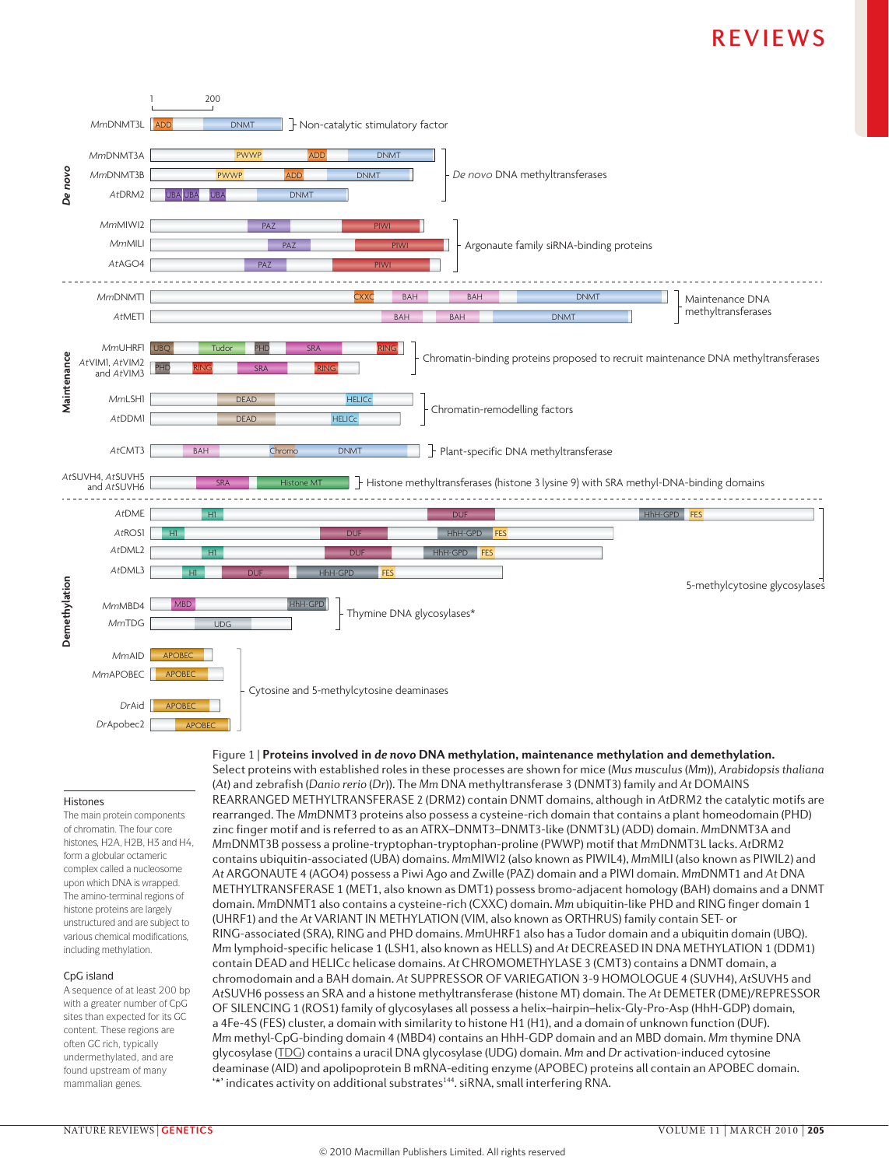

### Histones

The main protein components of chromatin. The four core histones, H2A, H2B, H3 and H4, form a globular octameric complex called a nucleosome upon which DNA is wrapped. The amino‑terminal regions of histone proteins are largely unstructured and are subject to various chemical modifications, including methylation.

### CpG island

A sequence of at least 200 bp with a greater number of CpG sites than expected for its GC content. These regions are often GC rich, typically undermethylated, and are found upstream of many mammalian genes.

Select proteins with established roles in these processes are shown for mice (*Mus musculus* (*Mm*))*, Arabidopsisthaliana* (*At*) and zebrafish (*Danio rerio* (*Dr*)). The *Mm* DNA methyltransferase 3 (DNMT3) family and *At* DOMAINS REARRANGED METHYLTRANSFERASE 2 (DRM2) contain DNMT domains, although in *At*DRM2 the catalytic motifs are rearranged. The *Mm*DNMT3 proteins also possess a cysteine-rich domain that contains a plant homeodomain (PHD) zinc finger motif and is referred to as an ATRX–DNMT3–DNMT3-like (DNMT3L) (ADD) domain. *Mm*DNMT3A and *Mm*DNMT3B possess a proline-tryptophan-tryptophan-proline (PWWP) motif that *Mm*DNMT3L lacks. *At*DRM2 contains ubiquitin-associated (UBA) domains. *Mm*MIWI2 (also known as PIWIL4), *Mm*MILI (also known as PIWIL2) and *At* ARGONAUTE 4 (AGO4) possess a Piwi Ago and Zwille (PAZ) domain and a PIWI domain. *Mm*DNMT1 and *At* DNA METHYLTRANSFERASE 1 (MET1, also known as DMT1) possess bromo-adjacent homology (BAH) domains and a DNMT domain. *Mm*DNMT1 also contains a cysteine-rich (CXXC) domain. *Mm* ubiquitin-like PHD and RING finger domain 1 (UHRF1) and the *At* VARIANT IN METHYLATION (VIM, also known as ORTHRUS) family contain SET- or RING-associated (SRA), RING and PHD domains. *Mm*UHRF1 also has a Tudor domain and a ubiquitin domain (UBQ). *Mm* lymphoid-specific helicase 1 (LSH1, also known as HELLS) and *At* DECREASED IN DNA METHYLATION 1 (DDM1) contain DEAD and HELICc helicase domains. *At* CHROMOMETHYLASE 3 (CMT3) contains a DNMT domain, a chromodomain and a BAH domain. *At* SUPPRESSOR OF VARIEGATION 3-9 HOMOLOGUE 4 (SUVH4), *At*SUVH5 and *At*SUVH6 possess an SRA and a histone methyltransferase (histone MT) domain. The *At* DEMETER (DME)/REPRESSOR OF SILENCING 1 (ROS1) family of glycosylases all possess a helix–hairpin–helix-Gly-Pro-Asp (HhH-GDP) domain, a 4Fe-4S (FES) cluster, a domain with similarity to histone H1 (H1), and a domain of unknown function (DUF). *Mm* methyl-CpG-binding domain 4 (MBD4) contains an HhH-GDP domain and an MBD domain. *Mm* thymine DNA glycosylase [\(TDG](http://www.uniprot.org/uniprot/P56581)) contains a uracil DNA glycosylase (UDG) domain. *Mm* and *Dr* activation-induced cytosine deaminase (AID) and apolipoprotein B mRNA-editing enzyme (APOBEC) proteins all contain an APOBEC domain. \*" indicates activity on additional substrates<sup>144</sup>. siRNA, small interfering RNA.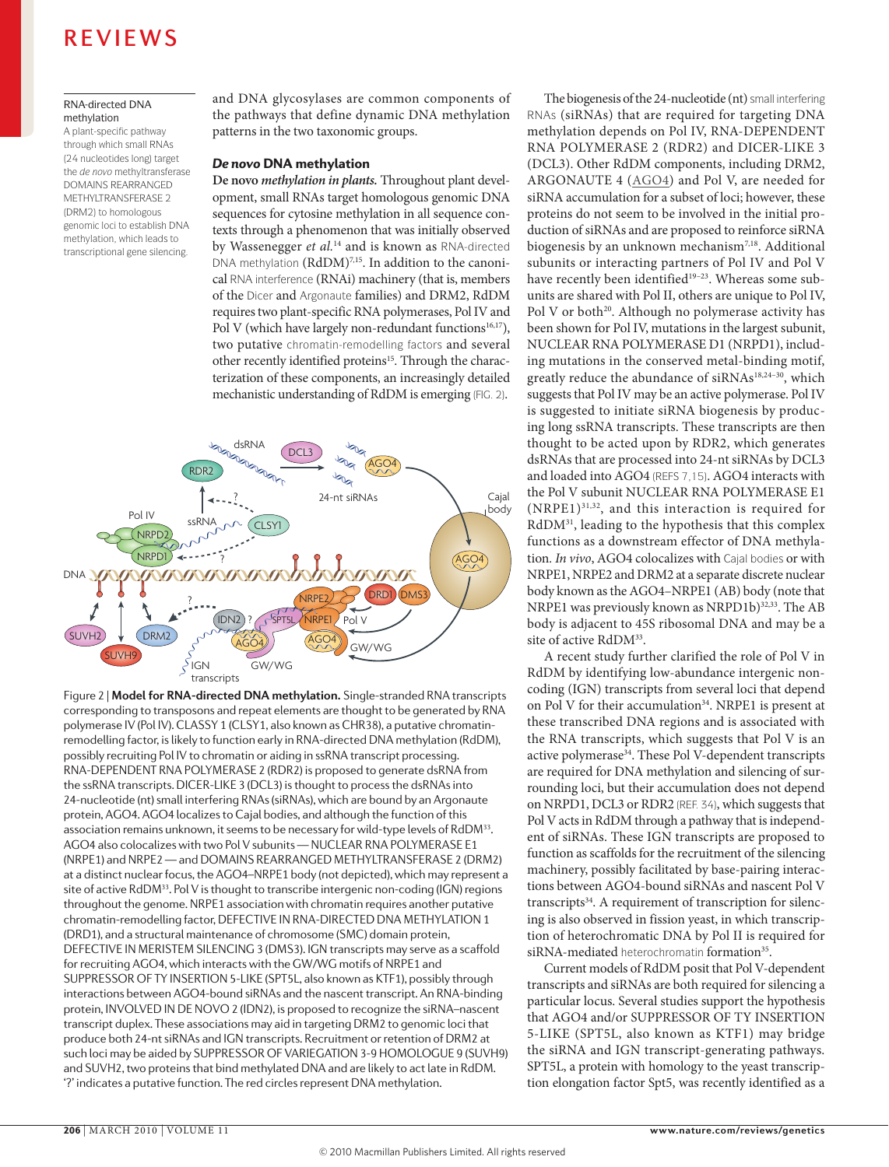### RNA-directed DNA methylation

A plant‑specific pathway through which small RNAs (24 nucleotides long) target the *de novo* methyltransferase DOMAINS REARRANGED METHYLTRANSFERASE 2 (DRM2) to homologous genomic loci to establish DNA methylation, which leads to transcriptional gene silencing.

and DNA glycosylases are common components of the pathways that define dynamic DNA methylation patterns in the two taxonomic groups.

### *De novo* DNA methylation

**De novo** *methylation in plants.* Throughout plant development, small RNAs target homologous genomic DNA sequences for cytosine methylation in all sequence contexts through a phenomenon that was initially observed by Wassenegger *et al.*14 and is known as RNA‑directed  $DNA$  methylation ( $RdDM$ )<sup>7,15</sup>. In addition to the canonical RNA interference (RNAi) machinery (that is, members of the Dicer and Argonaute families) and DRM2, RdDM requires two plant-specific RNA polymerases, Pol IV and Pol V (which have largely non-redundant functions<sup>16,17</sup>), two putative chromatin‑remodelling factors and several other recently identified proteins<sup>15</sup>. Through the characterization of these components, an increasingly detailed mechanistic understanding of RdDM is emerging (FIG. 2).



Figure 2 | **Model for RNA-directed DNA methylation.** Single-stranded RNA transcripts corresponding to transposons and repeat elements are thought to be generated by RNA polymerase IV (Pol IV). CLASSY 1 (CLSY1, also known as CHR38), a putative chromatinremodelling factor, is likely to function early in RNA-directed DNA methylation (RdDM), possibly recruiting Pol IV to chromatin or aiding in ssRNA transcript processing. RNA-DEPENDENT RNA POLYMERASE 2 (RDR2) is proposed to generate dsRNA from the ssRNA transcripts. DICER-LIKE 3 (DCL3) is thought to process the dsRNAs into 24-nucleotide (nt) small interfering RNAs (siRNAs), which are bound by an Argonaute protein, AGO4. AGO4 localizes to Cajal bodies, and although the function of this association remains unknown, it seems to be necessary for wild-type levels of RdDM<sup>33</sup>. AGO4 also colocalizes with two Pol V subunits — NUCLEAR RNA POLYMERASE E1 (NRPE1) and NRPE2 — and DOMAINS REARRANGED METHYLTRANSFERASE 2 (DRM2) at a distinct nuclear focus, the AGO4–NRPE1 body (not depicted), which may represent a site of active RdDM<sup>33</sup>. Pol V is thought to transcribe intergenic non-coding (IGN) regions throughout the genome. NRPE1 association with chromatin requires another putative chromatin-remodelling factor, DEFECTIVE IN RNA-DIRECTED DNA METHYLATION 1 (DRD1), and a structural maintenance of chromosome (SMC) domain protein, DEFECTIVE IN MERISTEM SILENCING 3 (DMS3). IGN transcripts may serve as a scaffold for recruiting AGO4, which interacts with the GW/WG motifs of NRPE1 and SUPPRESSOR OF TY INSERTION 5-LIKE (SPT5L, also known as KTF1), possibly through interactions between AGO4-bound siRNAs and the nascent transcript. An RNA-binding protein, INVOLVED IN DE NOVO 2 (IDN2), is proposed to recognize the siRNA–nascent transcript duplex. These associations may aid in targeting DRM2 to genomic loci that produce both 24-nt siRNAs and IGN transcripts. Recruitment or retention of DRM2 at such loci may be aided by SUPPRESSOR OF VARIEGATION 3-9 HOMOLOGUE 9 (SUVH9) and SUVH2, two proteins that bind methylated DNA and are likely to act late in RdDM. '?' indicates a putative function. The red circles represent DNA methylation.

The biogenesis of the 24-nucleotide (nt) small interfering RNAs (siRNAs) that are required for targeting DNA methylation depends on Pol IV, RNA-DEPENDENT RNA POLYMERASE 2 (RDR2) and DICER-LIKE 3 (DCL3). Other RdDM components, including DRM2, ARGONAUTE 4 ([AGO4](http://www.ncbi.nlm.nih.gov/protein/NP_565633.1)) and Pol V, are needed for siRNA accumulation for a subset of loci; however, these proteins do not seem to be involved in the initial production of siRNAs and are proposed to reinforce siRNA biogenesis by an unknown mechanism<sup>7,18</sup>. Additional subunits or interacting partners of Pol IV and Pol V have recently been identified<sup>19-23</sup>. Whereas some subunits are shared with Pol II, others are unique to Pol IV, Pol V or both<sup>20</sup>. Although no polymerase activity has been shown for Pol IV, mutations in the largest subunit, NUCLEAR RNA POLYMERASE D1 (NRPD1), including mutations in the conserved metal-binding motif, greatly reduce the abundance of siRNAs<sup>18,24-30</sup>, which suggests that Pol IV may be an active polymerase. Pol IV is suggested to initiate siRNA biogenesis by producing long ssRNA transcripts. These transcripts are then thought to be acted upon by RDR2, which generates dsRNAs that are processed into 24-nt siRNAs by DCL3 and loaded into AGO4 (REFS 7,15). AGO4 interacts with the Pol V subunit NUCLEAR RNA POLYMERASE E1  $(NRPE1)^{31,32}$ , and this interaction is required for RdDM31, leading to the hypothesis that this complex functions as a downstream effector of DNA methylation*. In vivo*, AGO4 colocalizes with Cajal bodies or with NRPE1, NRPE2 and DRM2 at a separate discrete nuclear body known as the AGO4–NRPE1 (AB) body (note that NRPE1 was previously known as NRPD1b)<sup>32,33</sup>. The AB body is adjacent to 45S ribosomal DNA and may be a site of active RdDM<sup>33</sup>.

A recent study further clarified the role of Pol V in RdDM by identifying low-abundance intergenic noncoding (IGN) transcripts from several loci that depend on Pol V for their accumulation<sup>34</sup>. NRPE1 is present at these transcribed DNA regions and is associated with the RNA transcripts, which suggests that Pol V is an active polymerase<sup>34</sup>. These Pol V-dependent transcripts are required for DNA methylation and silencing of surrounding loci, but their accumulation does not depend on NRPD1, DCL3 or RDR2 (REF. 34), which suggests that Pol V acts in RdDM through a pathway that is independent of siRNAs. These IGN transcripts are proposed to function as scaffolds for the recruitment of the silencing machinery, possibly facilitated by base-pairing interactions between AGO4-bound siRNAs and nascent Pol V transcripts<sup>34</sup>. A requirement of transcription for silencing is also observed in fission yeast, in which transcription of heterochromatic DNA by Pol II is required for siRNA-mediated heterochromatin formation<sup>35</sup>.

Current models of RdDM posit that Pol V-dependent transcripts and siRNAs are both required for silencing a particular locus. Several studies support the hypothesis that AGO4 and/or SUPPRESSOR OF TY INSERTION 5-LIKE (SPT5L, also known as KTF1) may bridge the siRNA and IGN transcript-generating pathways. SPT5L, a protein with homology to the yeast transcription elongation factor Spt5, was recently identified as a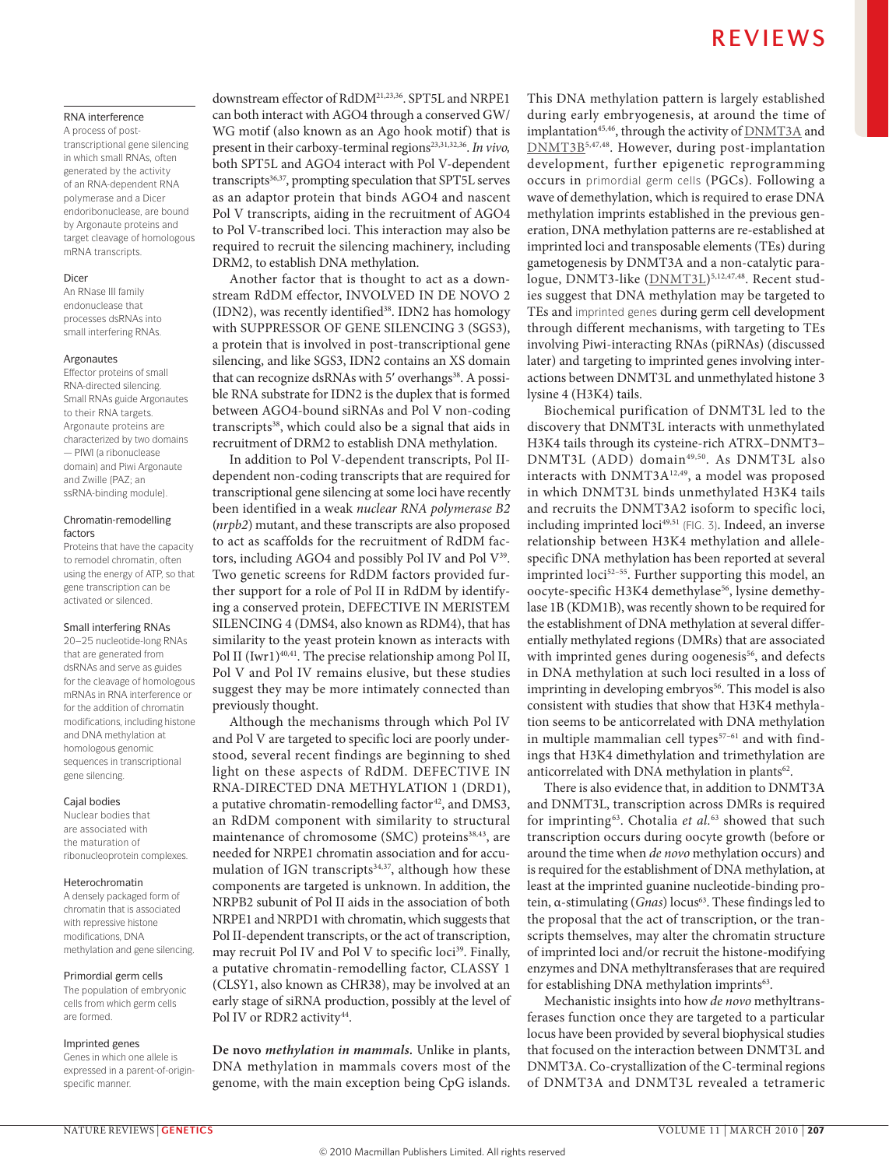### RNA interference

A process of post‑ transcriptional gene silencing in which small RNAs, often generated by the activity of an RNA‑dependent RNA polymerase and a Dicer endoribonuclease, are bound by Argonaute proteins and target cleavage of homologous mRNA transcripts.

### Dicer

An RNase III family endonuclease that processes dsRNAs into small interfering RNAs.

### Argonautes

Effector proteins of small RNA‑directed silencing. Small RNAs guide Argonautes to their RNA targets. Argonaute proteins are characterized by two domains — PIWI (a ribonuclease domain) and Piwi Argonaute and Zwille (PAZ; an ssRNA-binding module).

### Chromatin-remodelling factors

Proteins that have the capacity to remodel chromatin, often using the energy of ATP, so that gene transcription can be activated or silenced.

### Small interfering RNAs

20–25 nucleotide‑long RNAs that are generated from dsRNAs and serve as guides for the cleavage of homologous mRNAs in RNA interference or for the addition of chromatin modifications, including histone and DNA methylation at homologous genomic sequences in transcriptional gene silencing.

### Cajal bodies

Nuclear bodies that are associated with the maturation of ribonucleoprotein complexes.

### Heterochromatin

A densely packaged form of chromatin that is associated with repressive histone modifications, DNA methylation and gene silencing.

### Primordial germ cells

The population of embryonic cells from which germ cells are formed.

### Imprinted genes

Genes in which one allele is expressed in a parent-of-originspecific manner.

downstream effector of RdDM21,23,36. SPT5L and NRPE1 can both interact with AGO4 through a conserved GW/ WG motif (also known as an Ago hook motif) that is present in their carboxy-terminal regions<sup>23,31,32,36</sup>. In vivo, both SPT5L and AGO4 interact with Pol V-dependent transcripts<sup>36,37</sup>, prompting speculation that SPT5L serves as an adaptor protein that binds AGO4 and nascent Pol V transcripts, aiding in the recruitment of AGO4 to Pol V-transcribed loci. This interaction may also be required to recruit the silencing machinery, including DRM2, to establish DNA methylation.

Another factor that is thought to act as a downstream RdDM effector, INVOLVED IN DE NOVO 2 (IDN2), was recently identified<sup>38</sup>. IDN2 has homology with SUPPRESSOR OF GENE SILENCING 3 (SGS3), a protein that is involved in post-transcriptional gene silencing, and like SGS3, IDN2 contains an XS domain that can recognize dsRNAs with 5' overhangs<sup>38</sup>. A possible RNA substrate for IDN2 is the duplex that is formed between AGO4-bound siRNAs and Pol V non-coding transcripts<sup>38</sup>, which could also be a signal that aids in recruitment of DRM2 to establish DNA methylation.

In addition to Pol V-dependent transcripts, Pol IIdependent non-coding transcripts that are required for transcriptional gene silencing at some loci have recently been identified in a weak *nuclear RNA polymerase B2* (*nrpb2*) mutant, and these transcripts are also proposed to act as scaffolds for the recruitment of RdDM factors, including AGO4 and possibly Pol IV and Pol V<sup>39</sup>. Two genetic screens for RdDM factors provided further support for a role of Pol II in RdDM by identifying a conserved protein, DEFECTIVE IN MERISTEM SILENCING 4 (DMS4, also known as RDM4), that has similarity to the yeast protein known as interacts with Pol II (Iwr1)<sup>40,41</sup>. The precise relationship among Pol II, Pol V and Pol IV remains elusive, but these studies suggest they may be more intimately connected than previously thought.

Although the mechanisms through which Pol IV and Pol V are targeted to specific loci are poorly understood, several recent findings are beginning to shed light on these aspects of RdDM. DEFECTIVE IN RNA-DIRECTED DNA METHYLATION 1 (DRD1), a putative chromatin-remodelling factor<sup>42</sup>, and DMS3, an RdDM component with similarity to structural maintenance of chromosome (SMC) proteins<sup>38,43</sup>, are needed for NRPE1 chromatin association and for accumulation of IGN transcripts<sup>34,37</sup>, although how these components are targeted is unknown. In addition, the NRPB2 subunit of Pol II aids in the association of both NRPE1 and NRPD1 with chromatin, which suggests that Pol II-dependent transcripts, or the act of transcription, may recruit Pol IV and Pol V to specific loci<sup>39</sup>. Finally, a putative chromatin-remodelling factor, CLASSY 1 (CLSY1, also known as CHR38), may be involved at an early stage of siRNA production, possibly at the level of Pol IV or RDR2 activity<sup>44</sup>.

**De novo** *methylation in mammals.* Unlike in plants, DNA methylation in mammals covers most of the genome, with the main exception being CpG islands. This DNA methylation pattern is largely established during early embryogenesis, at around the time of implantation<sup>45,46</sup>, through the activity of [DNMT3A](http://www.uniprot.org/uniprot/O88508) and [DNMT3B](http://www.uniprot.org/uniprot/O88509)5,47,48. However, during post-implantation development, further epigenetic reprogramming occurs in primordial germ cells (PGCs). Following a wave of demethylation, which is required to erase DNA methylation imprints established in the previous generation, DNA methylation patterns are re-established at imprinted loci and transposable elements (TEs) during gametogenesis by DNMT3A and a non-catalytic para-logue, DNMT3-like ([DNMT3L](http://www.uniprot.org/uniprot/Q9CWR8))<sup>5,12,47,48</sup>. Recent studies suggest that DNA methylation may be targeted to TEs and imprinted genes during germ cell development through different mechanisms, with targeting to TEs involving Piwi-interacting RNAs (piRNAs) (discussed later) and targeting to imprinted genes involving interactions between DNMT3L and unmethylated histone 3 lysine 4 (H3K4) tails.

Biochemical purification of DNMT3L led to the discovery that DNMT3L interacts with unmethylated H3K4 tails through its cysteine-rich ATRX–DNMT3– DNMT3L (ADD) domain<sup>49,50</sup>. As DNMT3L also interacts with DNMT3A12,49, a model was proposed in which DNMT3L binds unmethylated H3K4 tails and recruits the DNMT3A2 isoform to specific loci, including imprinted loci<sup>49,51</sup> (FIG. 3). Indeed, an inverse relationship between H3K4 methylation and allelespecific DNA methylation has been reported at several imprinted loci<sup>52-55</sup>. Further supporting this model, an oocyte-specific H3K4 demethylase<sup>56</sup>, lysine demethylase 1B (KDM1B), was recently shown to be required for the establishment of DNA methylation at several differentially methylated regions (DMRs) that are associated with imprinted genes during oogenesis<sup>56</sup>, and defects in DNA methylation at such loci resulted in a loss of imprinting in developing embryos<sup>56</sup>. This model is also consistent with studies that show that H3K4 methylation seems to be anticorrelated with DNA methylation in multiple mammalian cell types $57-61$  and with findings that H3K4 dimethylation and trimethylation are anticorrelated with DNA methylation in plants<sup>62</sup>.

There is also evidence that, in addition to DNMT3A and DNMT3L, transcription across DMRs is required for imprinting 63. Chotalia *et al.*63 showed that such transcription occurs during oocyte growth (before or around the time when *de novo* methylation occurs) and is required for the establishment of DNA methylation, at least at the imprinted guanine nucleotide-binding protein, α-stimulating (*Gnas*) locus<sup>63</sup>. These findings led to the proposal that the act of transcription, or the transcripts themselves, may alter the chromatin structure of imprinted loci and/or recruit the histone-modifying enzymes and DNA methyltransferases that are required for establishing DNA methylation imprints<sup>63</sup>.

Mechanistic insights into how *de novo* methyltransferases function once they are targeted to a particular locus have been provided by several biophysical studies that focused on the interaction between DNMT3L and DNMT3A. Co-crystallization of the C-terminal regions of DNMT3A and DNMT3L revealed a tetrameric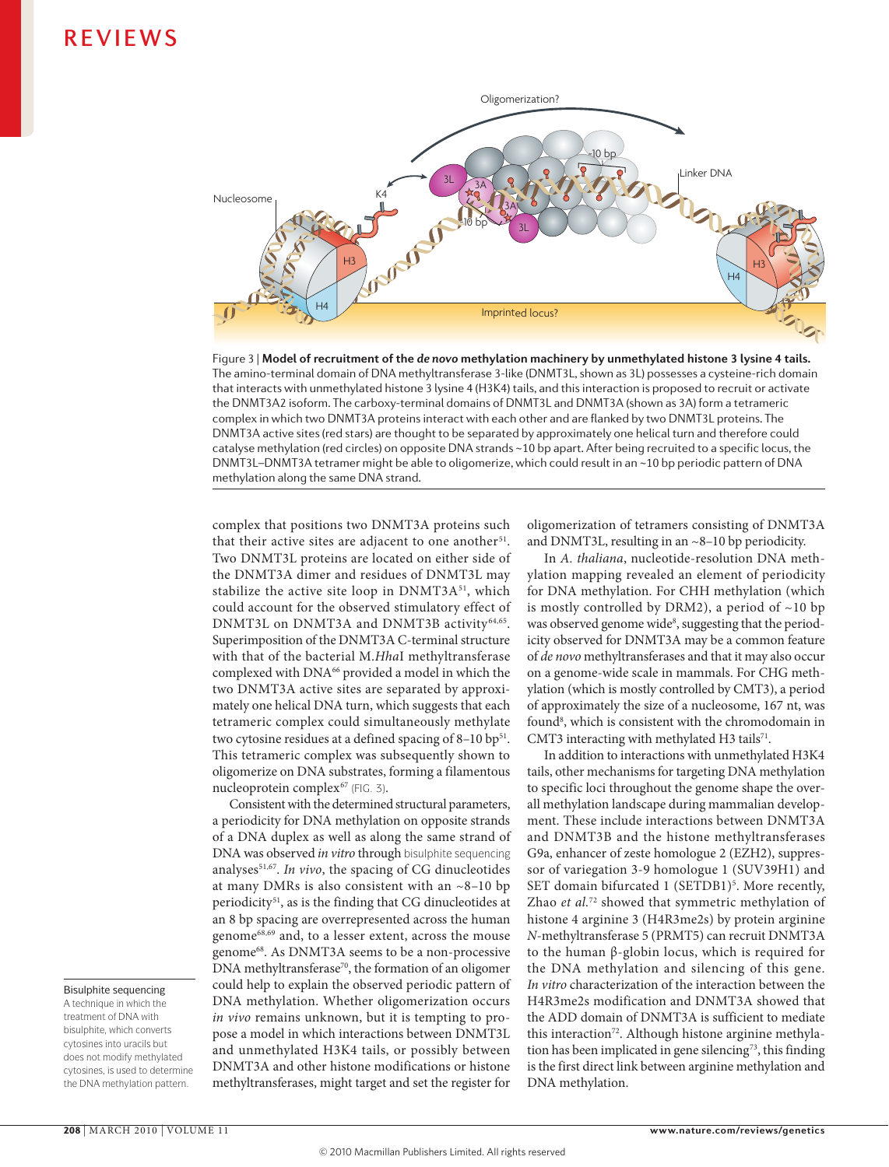

**Nature Reviews** | **Genetics** Figure 3 | **Model of recruitment of the** *de novo* **methylation machinery by unmethylated histone 3 lysine 4 tails.**  The amino-terminal domain of DNA methyltransferase 3-like (DNMT3L, shown as 3L) possesses a cysteine-rich domain that interacts with unmethylated histone 3 lysine 4 (H3K4) tails, and this interaction is proposed to recruit or activate the DNMT3A2 isoform. The carboxy-terminal domains of DNMT3L and DNMT3A (shown as 3A) form a tetrameric complex in which two DNMT3A proteins interact with each other and are flanked by two DNMT3L proteins. The DNMT3A active sites (red stars) are thought to be separated by approximately one helical turn and therefore could catalyse methylation (red circles) on opposite DNA strands ~10 bp apart. After being recruited to a specific locus, the DNMT3L–DNMT3A tetramer might be able to oligomerize, which could result in an ~10 bp periodic pattern of DNA methylation along the same DNA strand.

complex that positions two DNMT3A proteins such that their active sites are adjacent to one another<sup>51</sup>. Two DNMT3L proteins are located on either side of the DNMT3A dimer and residues of DNMT3L may stabilize the active site loop in DNMT3A<sup>51</sup>, which could account for the observed stimulatory effect of DNMT3L on DNMT3A and DNMT3B activity 64,65. Superimposition of the DNMT3A C-terminal structure with that of the bacterial M.*Hha*I methyltransferase complexed with DNA<sup>66</sup> provided a model in which the two DNMT3A active sites are separated by approximately one helical DNA turn, which suggests that each tetrameric complex could simultaneously methylate two cytosine residues at a defined spacing of  $8-10$  bp<sup>51</sup>. This tetrameric complex was subsequently shown to oligomerize on DNA substrates, forming a filamentous nucleoprotein complex<sup>67</sup> (FIG. 3).

Consistent with the determined structural parameters, a periodicity for DNA methylation on opposite strands of a DNA duplex as well as along the same strand of DNA was observed *in vitro* through bisulphite sequencing analyses<sup>51,67</sup>. In vivo, the spacing of CG dinucleotides at many DMRs is also consistent with an  $\sim$ 8-10 bp periodicity<sup>51</sup>, as is the finding that CG dinucleotides at an 8 bp spacing are overrepresented across the human genome68,69 and, to a lesser extent, across the mouse genome68. As DNMT3A seems to be a non-processive  $DNA$  methyltransferase<sup>70</sup>, the formation of an oligomer could help to explain the observed periodic pattern of DNA methylation. Whether oligomerization occurs *in vivo* remains unknown, but it is tempting to propose a model in which interactions between DNMT3L and unmethylated H3K4 tails, or possibly between DNMT3A and other histone modifications or histone methyltransferases, might target and set the register for oligomerization of tetramers consisting of DNMT3A and DNMT3L, resulting in an ~8–10 bp periodicity.

In *A. thaliana*, nucleotide-resolution DNA methylation mapping revealed an element of periodicity for DNA methylation. For CHH methylation (which is mostly controlled by DRM2), a period of  $\sim$ 10 bp was observed genome wide<sup>8</sup>, suggesting that the periodicity observed for DNMT3A may be a common feature of *de novo* methyltransferases and that it may also occur on a genome-wide scale in mammals. For CHG methylation (which is mostly controlled by CMT3), a period of approximately the size of a nucleosome, 167 nt, was found<sup>8</sup>, which is consistent with the chromodomain in CMT3 interacting with methylated H3 tails<sup>71</sup>.

In addition to interactions with unmethylated H3K4 tails, other mechanisms for targeting DNA methylation to specific loci throughout the genome shape the overall methylation landscape during mammalian development. These include interactions between DNMT3A and DNMT3B and the histone methyltransferases G9a, enhancer of zeste homologue 2 (EZH2), suppressor of variegation 3-9 homologue 1 (SUV39H1) and SET domain bifurcated 1 (SETDB1)<sup>5</sup>. More recently, Zhao *et al.*72 showed that symmetric methylation of histone 4 arginine 3 (H4R3me2s) by protein arginine *N*-methyltransferase 5 (PRMT5) can recruit DNMT3A to the human β-globin locus, which is required for the DNA methylation and silencing of this gene. *In vitro* characterization of the interaction between the H4R3me2s modification and DNMT3A showed that the ADD domain of DNMT3A is sufficient to mediate this interaction<sup>72</sup>. Although histone arginine methylation has been implicated in gene silencing<sup>73</sup>, this finding is the first direct link between arginine methylation and DNA methylation.

### Bisulphite sequencing

A technique in which the treatment of DNA with bisulphite, which converts cytosines into uracils but does not modify methylated cytosines, is used to determine the DNA methylation pattern.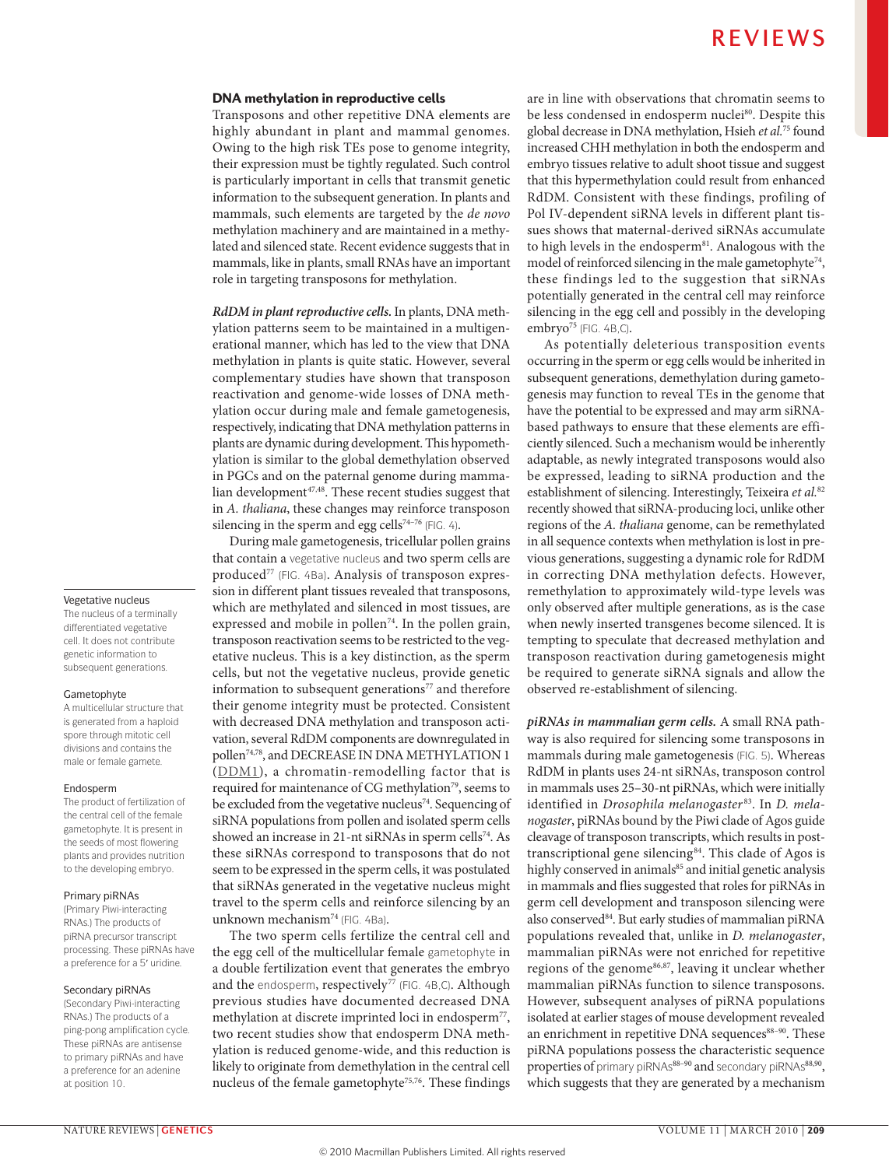### DNA methylation in reproductive cells

Transposons and other repetitive DNA elements are highly abundant in plant and mammal genomes. Owing to the high risk TEs pose to genome integrity, their expression must be tightly regulated. Such control is particularly important in cells that transmit genetic information to the subsequent generation. In plants and mammals, such elements are targeted by the *de novo* methylation machinery and are maintained in a methylated and silenced state. Recent evidence suggests that in mammals, like in plants, small RNAs have an important role in targeting transposons for methylation.

*RdDM in plant reproductive cells.*In plants, DNA methylation patterns seem to be maintained in a multigenerational manner, which has led to the view that DNA methylation in plants is quite static. However, several complementary studies have shown that transposon reactivation and genome-wide losses of DNA methylation occur during male and female gametogenesis, respectively, indicating that DNA methylation patterns in plants are dynamic during development. This hypomethylation is similar to the global demethylation observed in PGCs and on the paternal genome during mammalian development<sup>47,48</sup>. These recent studies suggest that in *A. thaliana*, these changes may reinforce transposon silencing in the sperm and egg cells<sup>74-76</sup> (FIG. 4).

During male gametogenesis, tricellular pollen grains that contain a vegetative nucleus and two sperm cells are produced<sup>77</sup> (FIG. 4Ba). Analysis of transposon expression in different plant tissues revealed that transposons, which are methylated and silenced in most tissues, are expressed and mobile in pollen<sup>74</sup>. In the pollen grain, transposon reactivation seems to be restricted to the vegetative nucleus. This is a key distinction, as the sperm cells, but not the vegetative nucleus, provide genetic information to subsequent generations<sup>77</sup> and therefore their genome integrity must be protected. Consistent with decreased DNA methylation and transposon activation, several RdDM components are downregulated in pollen74,78, and DECREASE IN DNA METHYLATION 1 ([DDM1\)](http://www.arabidopsis.org/servlets/TairObject?id=134574&type=locus), a chromatin-remodelling factor that is required for maintenance of CG methylation<sup>79</sup>, seems to be excluded from the vegetative nucleus<sup>74</sup>. Sequencing of siRNA populations from pollen and isolated sperm cells showed an increase in 21-nt siRNAs in sperm cells<sup>74</sup>. As these siRNAs correspond to transposons that do not seem to be expressed in the sperm cells, it was postulated that siRNAs generated in the vegetative nucleus might travel to the sperm cells and reinforce silencing by an unknown mechanism<sup>74</sup> (FIG. 4Ba).

The two sperm cells fertilize the central cell and the egg cell of the multicellular female gametophyte in a double fertilization event that generates the embryo and the endosperm, respectively<sup>77</sup> (FIG. 4B,C). Although previous studies have documented decreased DNA methylation at discrete imprinted loci in endosperm<sup>77</sup>, two recent studies show that endosperm DNA methylation is reduced genome-wide, and this reduction is likely to originate from demethylation in the central cell nucleus of the female gametophyte<sup>75,76</sup>. These findings are in line with observations that chromatin seems to be less condensed in endosperm nuclei<sup>80</sup>. Despite this global decrease in DNA methylation, Hsieh *et al.*75 found increased CHH methylation in both the endosperm and embryo tissues relative to adult shoot tissue and suggest that this hypermethylation could result from enhanced RdDM. Consistent with these findings, profiling of Pol IV-dependent siRNA levels in different plant tissues shows that maternal-derived siRNAs accumulate to high levels in the endosperm<sup>81</sup>. Analogous with the model of reinforced silencing in the male gametophyte<sup>74</sup>, these findings led to the suggestion that siRNAs potentially generated in the central cell may reinforce silencing in the egg cell and possibly in the developing embryo<sup>75</sup> (FIG. 4B,C).

As potentially deleterious transposition events occurring in the sperm or egg cells would be inherited in subsequent generations, demethylation during gametogenesis may function to reveal TEs in the genome that have the potential to be expressed and may arm siRNAbased pathways to ensure that these elements are efficiently silenced. Such a mechanism would be inherently adaptable, as newly integrated transposons would also be expressed, leading to siRNA production and the establishment of silencing. Interestingly, Teixeira *et al.*<sup>82</sup> recently showed that siRNA-producing loci, unlike other regions of the *A. thaliana* genome, can be remethylated in all sequence contexts when methylation is lost in previous generations, suggesting a dynamic role for RdDM in correcting DNA methylation defects. However, remethylation to approximately wild-type levels was only observed after multiple generations, as is the case when newly inserted transgenes become silenced. It is tempting to speculate that decreased methylation and transposon reactivation during gametogenesis might be required to generate siRNA signals and allow the observed re-establishment of silencing.

*piRNAs in mammalian germ cells.* A small RNA pathway is also required for silencing some transposons in mammals during male gametogenesis (FIG. 5). Whereas RdDM in plants uses 24-nt siRNAs, transposon control in mammals uses 25–30-nt piRNAs, which were initially identified in *Drosophila melanogaster* 83. In *D. melanogaster*, piRNAs bound by the Piwi clade of Agos guide cleavage of transposon transcripts, which results in posttranscriptional gene silencing<sup>84</sup>. This clade of Agos is highly conserved in animals<sup>85</sup> and initial genetic analysis in mammals and flies suggested that roles for piRNAs in germ cell development and transposon silencing were also conserved<sup>84</sup>. But early studies of mammalian piRNA populations revealed that, unlike in *D. melanogaster*, mammalian piRNAs were not enriched for repetitive regions of the genome<sup>86,87</sup>, leaving it unclear whether mammalian piRNAs function to silence transposons. However, subsequent analyses of piRNA populations isolated at earlier stages of mouse development revealed an enrichment in repetitive DNA sequences<sup>88–90</sup>. These piRNA populations possess the characteristic sequence properties of primary piRNAs<sup>88-90</sup> and secondary piRNAs<sup>88,90</sup>, which suggests that they are generated by a mechanism

#### Vegetative nucleus

The nucleus of a terminally differentiated vegetative cell. It does not contribute genetic information to subsequent generations.

### Gametophyte

A multicellular structure that is generated from a haploid spore through mitotic cell divisions and contains the male or female gamete.

### Endosperm

The product of fertilization of the central cell of the female gametophyte. It is present in the seeds of most flowering plants and provides nutrition to the developing embryo.

### Primary piRNAs

(Primary Piwi‑interacting RNAs.) The products of piRNA precursor transcript processing. These piRNAs have a preference for a 5′ uridine.

### Secondary piRNAs

(Secondary Piwi‑interacting RNAs.) The products of a ping‑pong amplification cycle. These piRNAs are antisense to primary piRNAs and have a preference for an adenine at position 10.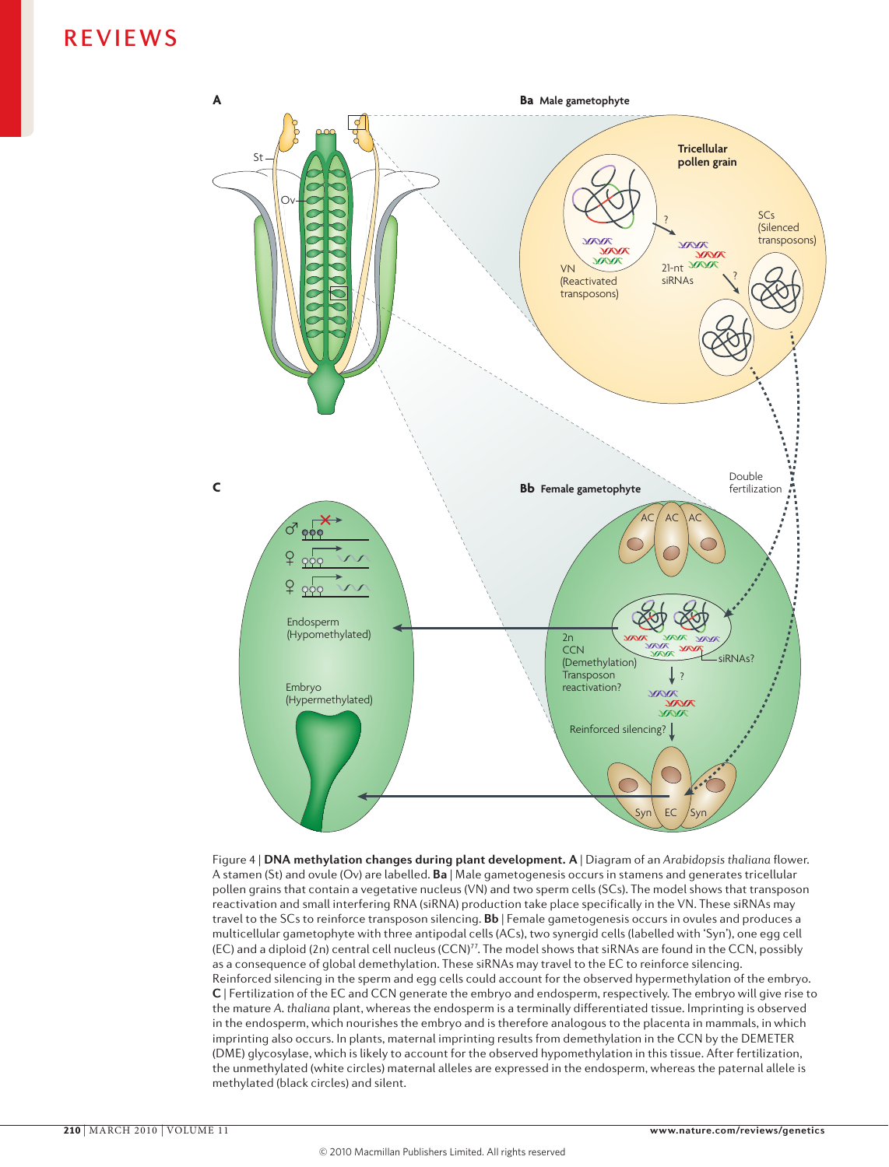

**Nature Reviews** | **Genetics** Figure 4 | **DNA methylation changes during plant development. A** | Diagram of an *Arabidopsis thaliana* flower. A stamen (St) and ovule (Ov) are labelled. **Ba** | Male gametogenesis occurs in stamens and generates tricellular pollen grains that contain a vegetative nucleus (VN) and two sperm cells (SCs). The model shows that transposon reactivation and small interfering RNA (siRNA) production take place specifically in the VN. These siRNAs may travel to the SCs to reinforce transposon silencing. **Bb** | Female gametogenesis occurs in ovules and produces a multicellular gametophyte with three antipodal cells (ACs), two synergid cells (labelled with 'Syn'), one egg cell (EC) and a diploid (2n) central cell nucleus (CCN)<sup>77</sup>. The model shows that siRNAs are found in the CCN, possibly as a consequence of global demethylation. These siRNAs may travel to the EC to reinforce silencing. Reinforced silencing in the sperm and egg cells could account for the observed hypermethylation of the embryo. **c** | Fertilization of the EC and CCN generate the embryo and endosperm, respectively. The embryo will give rise to the mature *A. thaliana* plant, whereas the endosperm is a terminally differentiated tissue. Imprinting is observed in the endosperm, which nourishes the embryo and is therefore analogous to the placenta in mammals, in which imprinting also occurs. In plants, maternal imprinting results from demethylation in the CCN by the DEMETER (DME) glycosylase, which is likely to account for the observed hypomethylation in this tissue. After fertilization, the unmethylated (white circles) maternal alleles are expressed in the endosperm, whereas the paternal allele is methylated (black circles) and silent.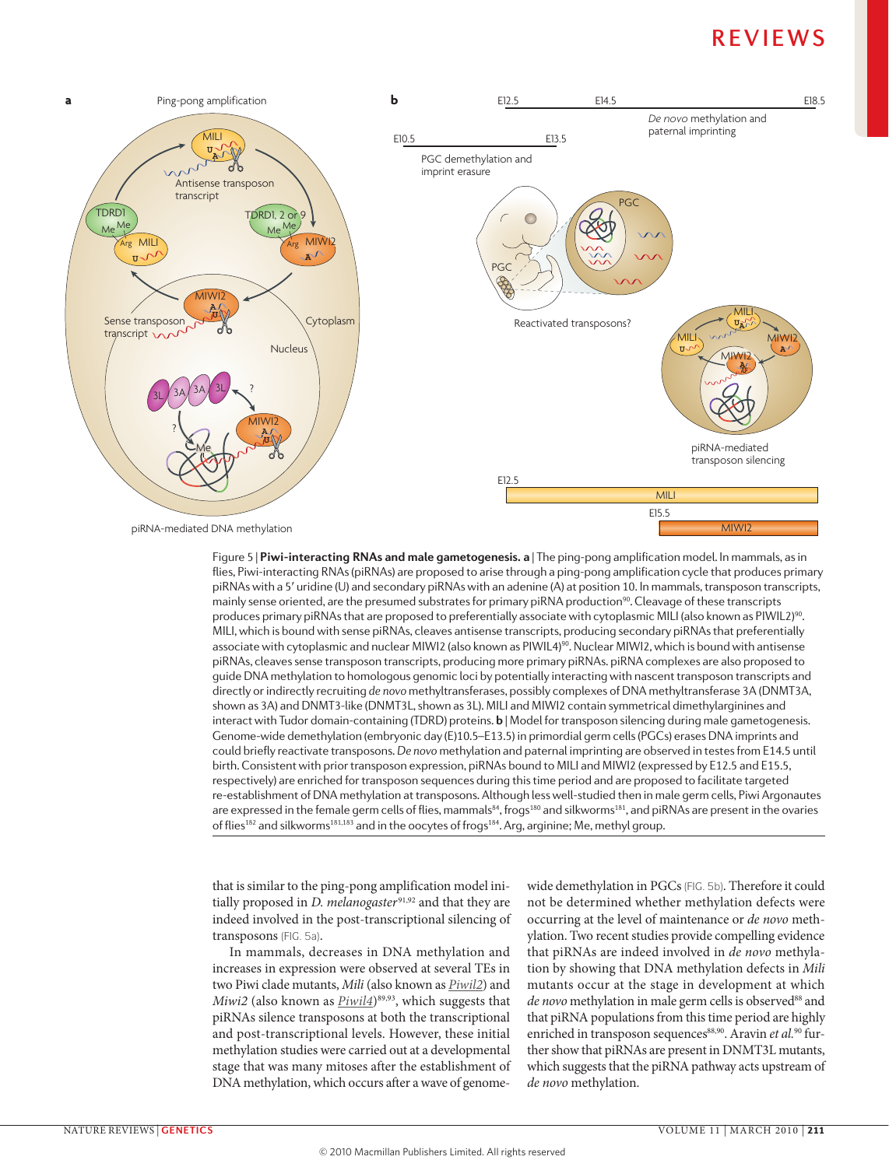

**Nature Reviews** | **Genetics** flies, Piwi-interacting RNAs (piRNAs) are proposed to arise through a ping-pong amplification cycle that produces primary Figure 5 | **Piwi-interacting RNAs and male gametogenesis. a** | The ping-pong amplification model. In mammals, as in piRNAs with a 5′ uridine (U) and secondary piRNAs with an adenine (A) at position 10. In mammals, transposon transcripts, mainly sense oriented, are the presumed substrates for primary piRNA production<sup>90</sup>. Cleavage of these transcripts produces primary piRNAs that are proposed to preferentially associate with cytoplasmic MILI (also known as PIWIL2)<sup>90</sup>. MILI, which is bound with sense piRNAs, cleaves antisense transcripts, producing secondary piRNAs that preferentially associate with cytoplasmic and nuclear MIWI2 (also known as PIWIL4)<sup>90</sup>. Nuclear MIWI2, which is bound with antisense piRNAs, cleaves sense transposon transcripts, producing more primary piRNAs. piRNA complexes are also proposed to guide DNA methylation to homologous genomic loci by potentially interacting with nascent transposon transcripts and directly or indirectly recruiting *de novo* methyltransferases, possibly complexes of DNA methyltransferase 3A (DNMT3A, shown as 3A) and DNMT3-like (DNMT3L, shown as 3L). MILI and MIWI2 contain symmetrical dimethylarginines and interact with Tudor domain-containing (TDRD) proteins. **b** | Model for transposon silencing during male gametogenesis. Genome-wide demethylation (embryonic day (E)10.5–E13.5) in primordial germ cells (PGCs) erases DNA imprints and could briefly reactivate transposons. *De novo* methylation and paternal imprinting are observed in testes from E14.5 until birth. Consistent with prior transposon expression, piRNAs bound to MILI and MIWI2 (expressed by E12.5 and E15.5, respectively) are enriched for transposon sequences during this time period and are proposed to facilitate targeted re-establishment of DNA methylation at transposons. Although less well-studied then in male germ cells, Piwi Argonautes are expressed in the female germ cells of flies, mammals<sup>84</sup>, frogs<sup>180</sup> and silkworms<sup>181</sup>, and piRNAs are present in the ovaries of flies<sup>182</sup> and silkworms<sup>181,183</sup> and in the oocytes of frogs<sup>184</sup>. Arg, arginine; Me, methyl group.

that is similar to the ping-pong amplification model initially proposed in *D. melanogaster*<sup>91,92</sup> and that they are indeed involved in the post-transcriptional silencing of transposons (FIG. 5a).

In mammals, decreases in DNA methylation and increases in expression were observed at several TEs in two Piwi clade mutants, *Mili* (also known as *[Piwil2](http://www.ncbi.nlm.nih.gov/gene/57746)*) and *Miwi2* (also known as  $P_i$ *iwil4*)<sup>89,93</sup>, which suggests that piRNAs silence transposons at both the transcriptional and post-transcriptional levels. However, these initial methylation studies were carried out at a developmental stage that was many mitoses after the establishment of DNA methylation, which occurs after a wave of genomewide demethylation in PGCs (FIG. 5b). Therefore it could not be determined whether methylation defects were occurring at the level of maintenance or *de novo* methylation. Two recent studies provide compelling evidence that piRNAs are indeed involved in *de novo* methylation by showing that DNA methylation defects in *Mili* mutants occur at the stage in development at which de novo methylation in male germ cells is observed<sup>88</sup> and that piRNA populations from this time period are highly enriched in transposon sequences<sup>88,90</sup>. Aravin *et al.*<sup>90</sup> further show that piRNAs are present in DNMT3L mutants, which suggests that the piRNA pathway acts upstream of *de novo* methylation.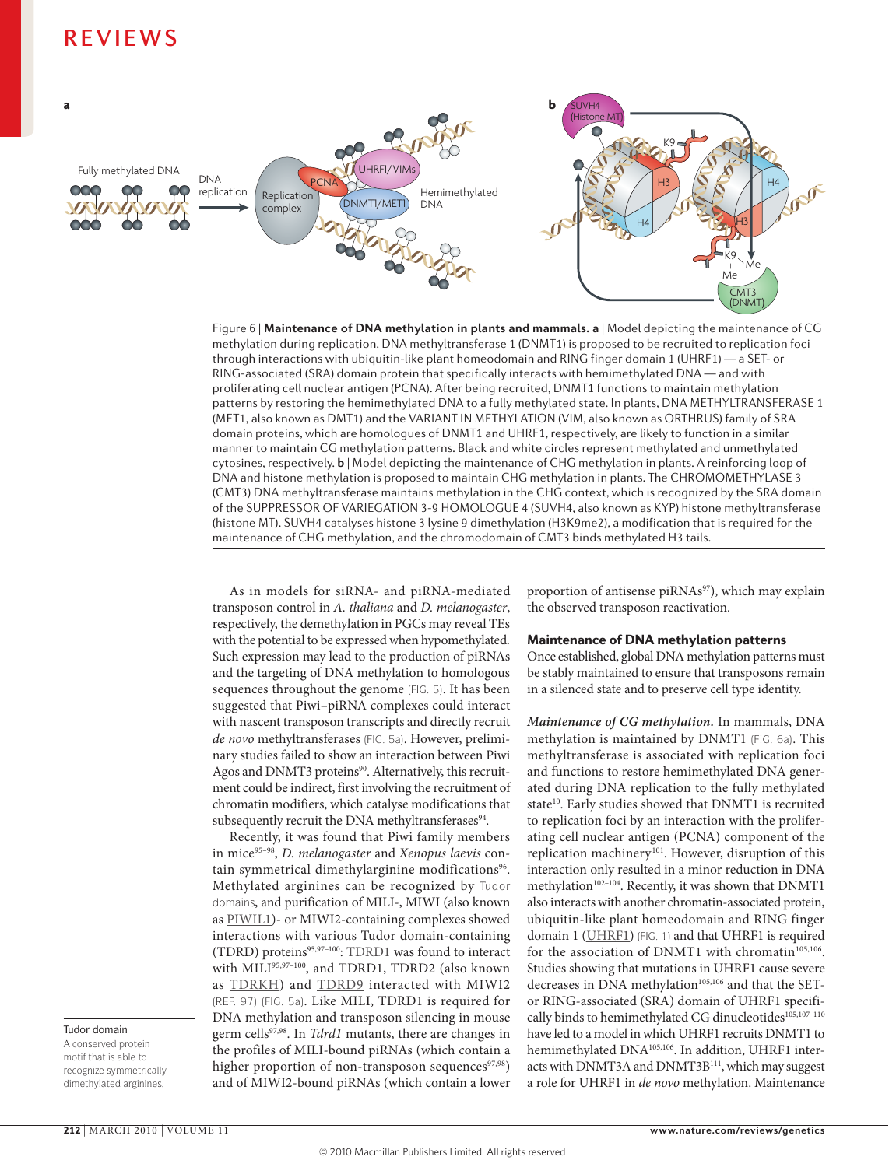

**Nature Reviews** | **Genetics** through interactions with ubiquitin-like plant homeodomain and RING finger domain 1 (UHRF1) — a SET- or Figure 6 | **Maintenance of DNA methylation in plants and mammals. a** | Model depicting the maintenance of CG methylation during replication. DNA methyltransferase 1 (DNMT1) is proposed to be recruited to replication foci RING-associated (SRA) domain protein that specifically interacts with hemimethylated DNA — and with proliferating cell nuclear antigen (PCNA). After being recruited, DNMT1 functions to maintain methylation patterns by restoring the hemimethylated DNA to a fully methylated state. In plants, DNA METHYLTRANSFERASE 1 (MET1, also known as DMT1) and the VARIANT IN METHYLATION (VIM, also known as ORTHRUS) family of SRA domain proteins, which are homologues of DNMT1 and UHRF1, respectively, are likely to function in a similar manner to maintain CG methylation patterns. Black and white circles represent methylated and unmethylated cytosines, respectively. **b** | Model depicting the maintenance of CHG methylation in plants. A reinforcing loop of DNA and histone methylation is proposed to maintain CHG methylation in plants. The CHROMOMETHYLASE 3 (CMT3) DNA methyltransferase maintains methylation in the CHG context, which is recognized by the SRA domain of the SUPPRESSOR OF VARIEGATION 3-9 HOMOLOGUE 4 (SUVH4, also known as KYP) histone methyltransferase (histone MT). SUVH4 catalyses histone 3 lysine 9 dimethylation (H3K9me2), a modification that is required for the maintenance of CHG methylation, and the chromodomain of CMT3 binds methylated H3 tails.

As in models for siRNA- and piRNA-mediated transposon control in *A. thaliana* and *D. melanogaster*, respectively, the demethylation in PGCs may reveal TEs with the potential to be expressed when hypomethylated. Such expression may lead to the production of piRNAs and the targeting of DNA methylation to homologous sequences throughout the genome (FIG. 5). It has been suggested that Piwi–piRNA complexes could interact with nascent transposon transcripts and directly recruit *de novo* methyltransferases (FIG. 5a). However, preliminary studies failed to show an interaction between Piwi Agos and DNMT3 proteins<sup>90</sup>. Alternatively, this recruitment could be indirect, first involving the recruitment of chromatin modifiers, which catalyse modifications that subsequently recruit the DNA methyltransferases<sup>94</sup>.

Recently, it was found that Piwi family members in mice95–98, *D. melanogaster* and *Xenopus laevis* contain symmetrical dimethylarginine modifications<sup>96</sup>. Methylated arginines can be recognized by Tudor domains, and purification of MILI-, MIWI (also known as [PIWIL1\)](http://www.uniprot.org/uniprot/Q9JMB7)- or MIWI2-containing complexes showed interactions with various Tudor domain-containing (TDRD) proteins95,97–100: [TDRD1](http://www.uniprot.org/uniprot/Q99MV1) was found to interact with MILI<sup>95,97-100</sup>, and TDRD1, TDRD2 (also known as **[TDRKH](http://www.uniprot.org/uniprot/Q80VL1)**) and **TDRD9** interacted with MIWI2 (REF. 97) (FIG. 5a). Like MILI, TDRD1 is required for DNA methylation and transposon silencing in mouse germ cells97,98. In *Tdrd1* mutants, there are changes in the profiles of MILI-bound piRNAs (which contain a higher proportion of non-transposon sequences $97,98$ ) and of MIWI2-bound piRNAs (which contain a lower proportion of antisense piRNAs<sup>97</sup>), which may explain the observed transposon reactivation.

### Maintenance of DNA methylation patterns

Once established, global DNA methylation patterns must be stably maintained to ensure that transposons remain in a silenced state and to preserve cell type identity.

*Maintenance of CG methylation.* In mammals, DNA methylation is maintained by DNMT1 (FIG. 6a). This methyltransferase is associated with replication foci and functions to restore hemimethylated DNA generated during DNA replication to the fully methylated state<sup>10</sup>. Early studies showed that DNMT1 is recruited to replication foci by an interaction with the proliferating cell nuclear antigen (PCNA) component of the replication machinery<sup>101</sup>. However, disruption of this interaction only resulted in a minor reduction in DNA methylation<sup>102-104</sup>. Recently, it was shown that DNMT1 also interacts with another chromatin-associated protein, ubiquitin-like plant homeodomain and RING finger domain 1 ([UHRF1\)](http://www.uniprot.org/uniprot/Q8VDF2) (FIG. 1) and that UHRF1 is required for the association of DNMT1 with chromatin<sup>105,106</sup>. Studies showing that mutations in UHRF1 cause severe decreases in DNA methylation<sup>105,106</sup> and that the SETor RING-associated (SRA) domain of UHRF1 specifically binds to hemimethylated CG dinucleotides<sup>105,107-110</sup> have led to a model in which UHRF1 recruits DNMT1 to hemimethylated DNA105,106. In addition, UHRF1 interacts with DNMT3A and DNMT3B<sup>111</sup>, which may suggest a role for UHRF1 in *de novo* methylation. Maintenance

### Tudor domain

A conserved protein motif that is able to recognize symmetrically dimethylated arginines.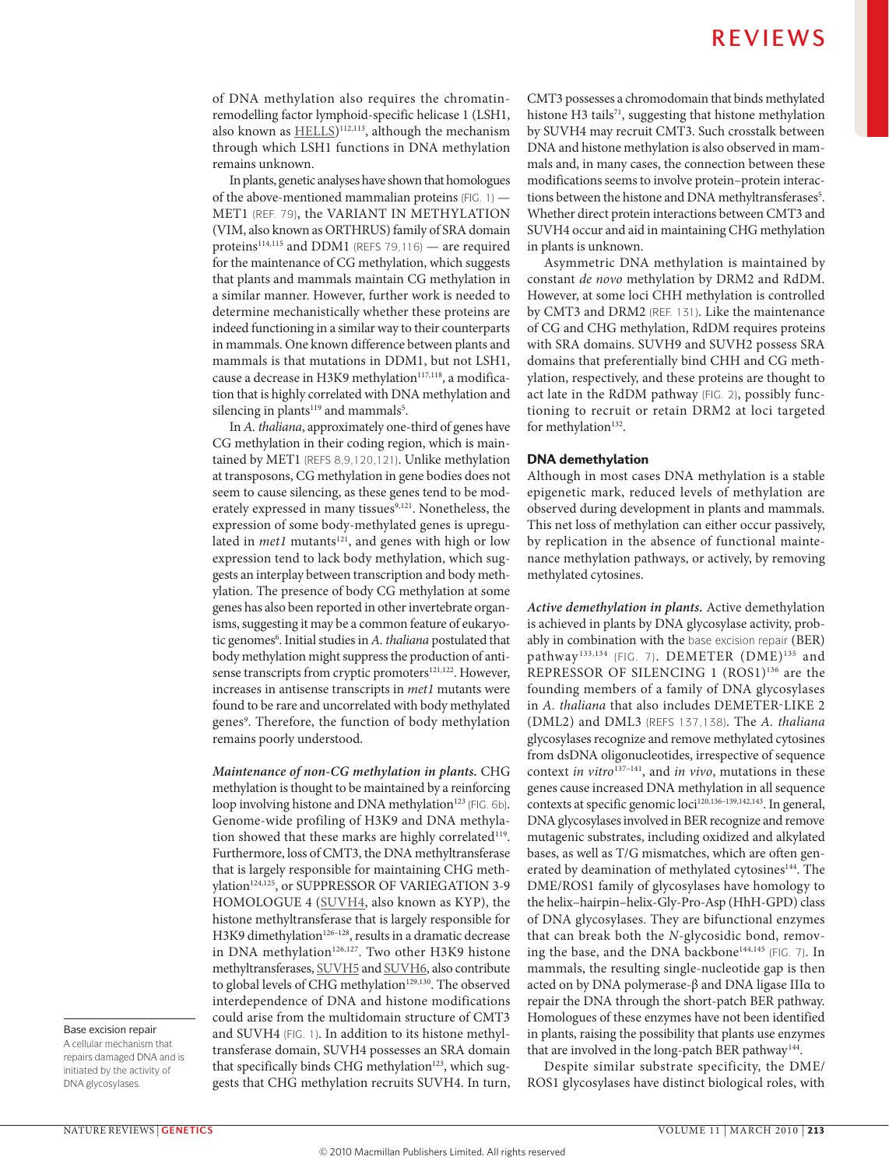of DNA methylation also requires the chromatinremodelling factor lymphoid-specific helicase 1 (LSH1, also known as  $\underline{\text{HEL}}$ <sup>112,113</sup>, although the mechanism through which LSH1 functions in DNA methylation remains unknown.

In plants, genetic analyses have shown that homologues of the above-mentioned mammalian proteins (FIG. 1) — MET1 (REF. 79), the VARIANT IN METHYLATION (VIM, also known as ORTHRUS) family of SRA domain proteins<sup>114,115</sup> and DDM1 (REFS 79,116) - are required for the maintenance of CG methylation, which suggests that plants and mammals maintain CG methylation in a similar manner. However, further work is needed to determine mechanistically whether these proteins are indeed functioning in a similar way to their counterparts in mammals. One known difference between plants and mammals is that mutations in DDM1, but not LSH1, cause a decrease in H3K9 methylation<sup>117,118</sup>, a modification that is highly correlated with DNA methylation and silencing in plants $^{119}$  and mammals $^5$ .

In *A. thaliana*, approximately one-third of genes have CG methylation in their coding region, which is maintained by MET1 (REFS 8,9,120,121). Unlike methylation at transposons, CG methylation in gene bodies does not seem to cause silencing, as these genes tend to be moderately expressed in many tissues<sup>9,121</sup>. Nonetheless, the expression of some body-methylated genes is upregulated in *met1* mutants<sup>121</sup>, and genes with high or low expression tend to lack body methylation, which suggests an interplay between transcription and body methylation. The presence of body CG methylation at some genes has also been reported in other invertebrate organisms, suggesting it may be a common feature of eukaryotic genomes<sup>6</sup>. Initial studies in A. *thaliana* postulated that body methylation might suppress the production of antisense transcripts from cryptic promoters<sup>121,122</sup>. However, increases in antisense transcripts in *met1* mutants were found to be rare and uncorrelated with body methylated genes9 . Therefore, the function of body methylation remains poorly understood.

*Maintenance of non-CG methylation in plants.* CHG methylation is thought to be maintained by a reinforcing loop involving histone and DNA methylation<sup>123</sup> (FIG. 6b). Genome-wide profiling of H3K9 and DNA methylation showed that these marks are highly correlated<sup>119</sup>. Furthermore, loss of CMT3, the DNA methyltransferase that is largely responsible for maintaining CHG methylation<sup>124,125</sup>, or SUPPRESSOR OF VARIEGATION 3-9 HOMOLOGUE 4 ([SUVH4](http://www.uniprot.org/uniprot/Q8GZB6), also known as KYP), the histone methyltransferase that is largely responsible for H3K9 dimethylation<sup>126-128</sup>, results in a dramatic decrease in DNA methylation<sup>126,127</sup>. Two other H3K9 histone methyltransferases, [SUVH5](http://www.uniprot.org/uniprot/O82175) and [SUVH6,](http://www.uniprot.org/uniprot/Q8VZ17) also contribute to global levels of CHG methylation<sup>129,130</sup>. The observed interdependence of DNA and histone modifications could arise from the multidomain structure of CMT3 and SUVH4 (FIG. 1). In addition to its histone methyltransferase domain, SUVH4 possesses an SRA domain that specifically binds CHG methylation<sup>123</sup>, which suggests that CHG methylation recruits SUVH4. In turn, CMT3 possesses a chromodomain that binds methylated histone H3 tails<sup>71</sup>, suggesting that histone methylation by SUVH4 may recruit CMT3. Such crosstalk between DNA and histone methylation is also observed in mammals and, in many cases, the connection between these modifications seems to involve protein–protein interactions between the histone and DNA methyltransferases<sup>5</sup>. Whether direct protein interactions between CMT3 and SUVH4 occur and aid in maintaining CHG methylation in plants is unknown.

Asymmetric DNA methylation is maintained by constant *de novo* methylation by DRM2 and RdDM. However, at some loci CHH methylation is controlled by CMT3 and DRM2 (REF. 131). Like the maintenance of CG and CHG methylation, RdDM requires proteins with SRA domains. SUVH9 and SUVH2 possess SRA domains that preferentially bind CHH and CG methylation, respectively, and these proteins are thought to act late in the RdDM pathway (FIG. 2), possibly functioning to recruit or retain DRM2 at loci targeted for methylation<sup>132</sup>.

### DNA demethylation

Although in most cases DNA methylation is a stable epigenetic mark, reduced levels of methylation are observed during development in plants and mammals. This net loss of methylation can either occur passively, by replication in the absence of functional maintenance methylation pathways, or actively, by removing methylated cytosines.

*Active demethylation in plants.* Active demethylation is achieved in plants by DNA glycosylase activity, probably in combination with the base excision repair (BER) pathway<sup>133,134</sup> (FIG. 7). DEMETER (DME)<sup>135</sup> and REPRESSOR OF SILENCING 1 (ROS1)<sup>136</sup> are the founding members of a family of DNA glycosylases in *A. thaliana* that also includes DEMETER-LIKE 2 (DML2) and DML3 (REFS 137,138). The *A. thaliana*  glycosylases recognize and remove methylated cytosines from dsDNA oligonucleotides, irrespective of sequence context *in vitro*137–141, and *in vivo*, mutations in these genes cause increased DNA methylation in all sequence contexts at specific genomic loci<sup>120,136-139,142,143</sup>. In general, DNA glycosylases involved in BER recognize and remove mutagenic substrates, including oxidized and alkylated bases, as well as T/G mismatches, which are often generated by deamination of methylated cytosines<sup>144</sup>. The DME/ROS1 family of glycosylases have homology to the helix–hairpin–helix-Gly-Pro-Asp (HhH-GPD) class of DNA glycosylases. They are bifunctional enzymes that can break both the *N*-glycosidic bond, removing the base, and the DNA backbone<sup>144,145</sup> (FIG. 7). In mammals, the resulting single-nucleotide gap is then acted on by DNA polymerase-β and DNA ligase IIIα to repair the DNA through the short-patch BER pathway. Homologues of these enzymes have not been identified in plants, raising the possibility that plants use enzymes that are involved in the long-patch BER pathway<sup>144</sup>.

Despite similar substrate specificity, the DME/ ROS1 glycosylases have distinct biological roles, with

### Base excision repair

A cellular mechanism that repairs damaged DNA and is initiated by the activity of DNA glycosylases.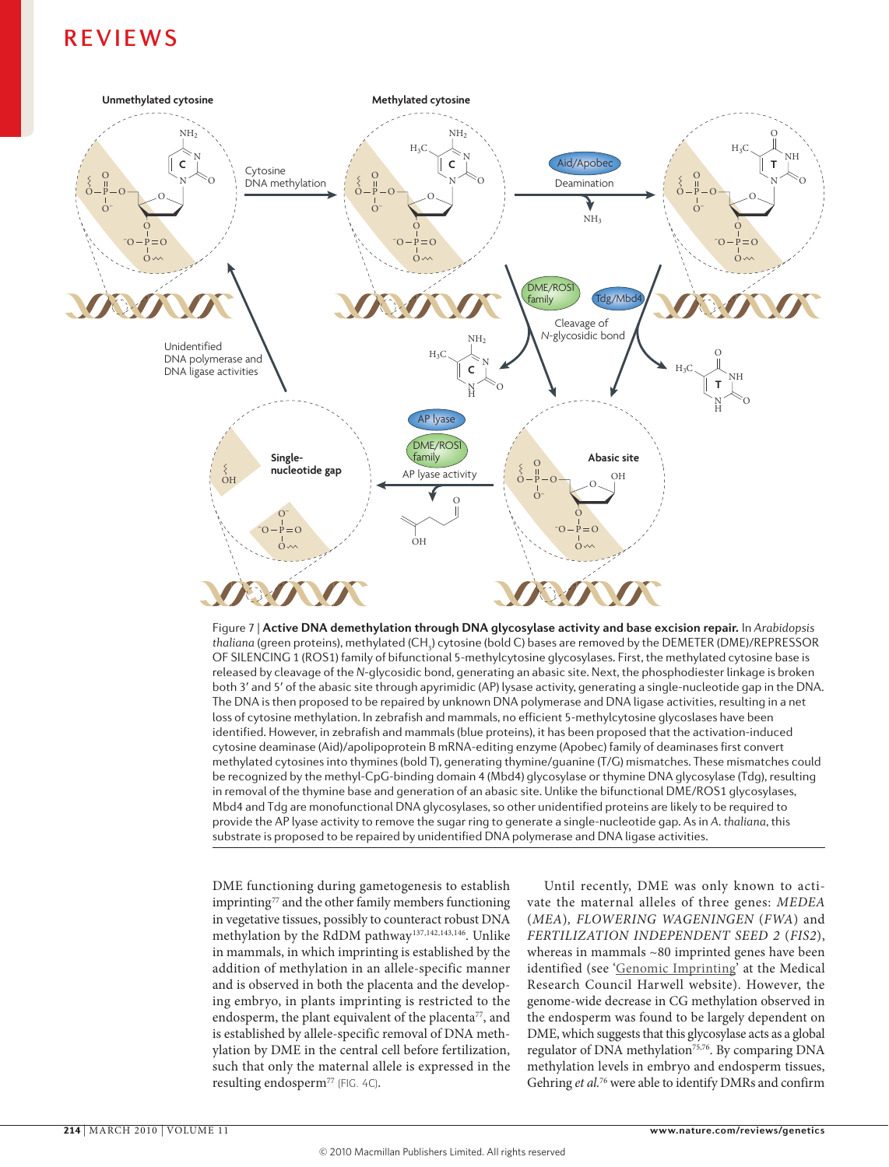



DME functioning during gametogenesis to establish imprinting<sup>77</sup> and the other family members functioning in vegetative tissues, possibly to counteract robust DNA methylation by the RdDM pathway<sup>137,142,143,146</sup>. Unlike in mammals, in which imprinting is established by the addition of methylation in an allele-specific manner and is observed in both the placenta and the developing embryo, in plants imprinting is restricted to the endosperm, the plant equivalent of the placenta<sup>77</sup>, and is established by allele-specific removal of DNA methylation by DME in the central cell before fertilization, such that only the maternal allele is expressed in the resulting endosperm<sup>77</sup> (FIG. 4C).

Until recently, DME was only known to activate the maternal alleles of three genes: *MEDEA*  (*MEA*)*, FLOWERING WAGENINGEN* (*FWA*) and *FERTILIZATION INDEPENDENT SEED 2* (*FIS2*), whereas in mammals ~80 imprinted genes have been identified (see '[Genomic Imprinting'](http://www.har.mrc.ac.uk/research/genomic_imprinting) at the Medical Research Council Harwell website). However, the genome-wide decrease in CG methylation observed in the endosperm was found to be largely dependent on DME, which suggests that this glycosylase acts as a global regulator of DNA methylation<sup>75,76</sup>. By comparing DNA methylation levels in embryo and endosperm tissues, Gehring *et al.*76 were able to identify DMRs and confirm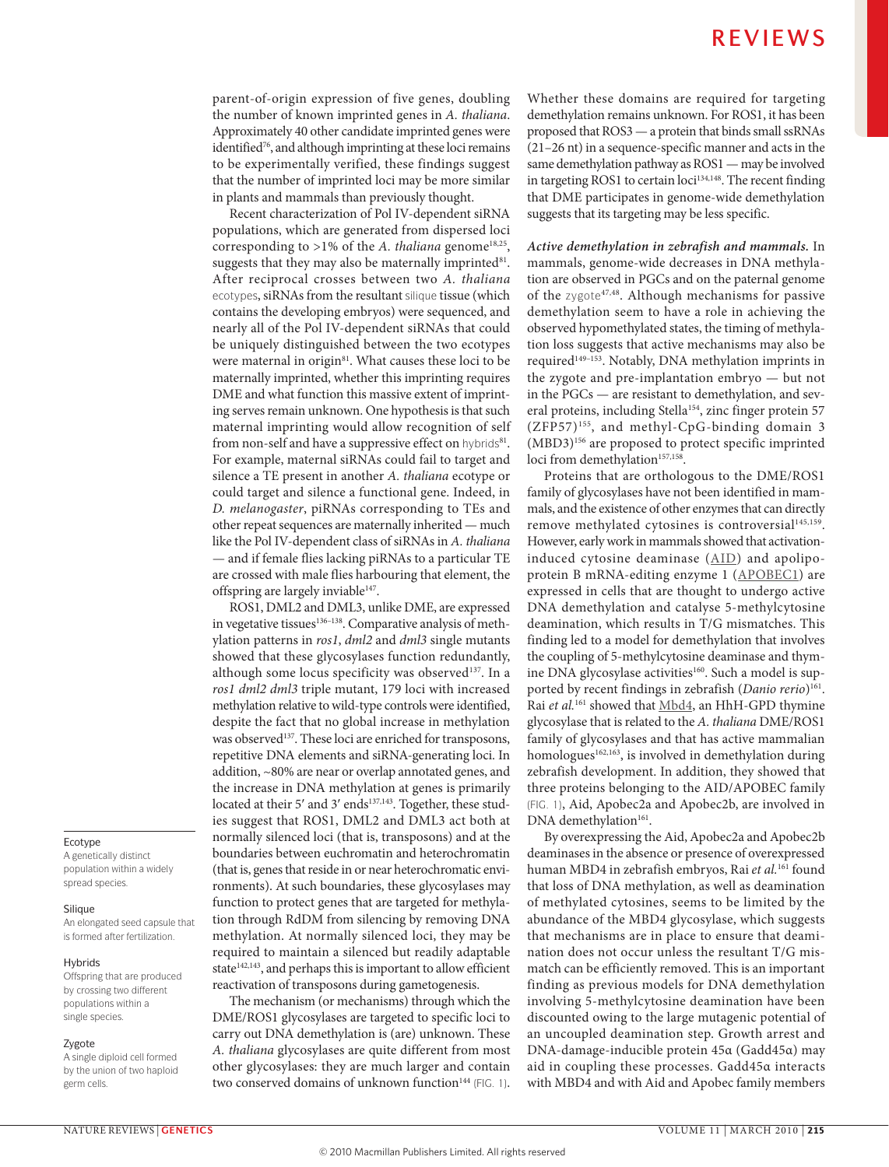parent-of-origin expression of five genes, doubling the number of known imprinted genes in *A. thaliana*. Approximately 40 other candidate imprinted genes were identified<sup>76</sup>, and although imprinting at these loci remains to be experimentally verified, these findings suggest that the number of imprinted loci may be more similar in plants and mammals than previously thought.

Recent characterization of Pol IV-dependent siRNA populations, which are generated from dispersed loci corresponding to >1% of the A. *thaliana* genome<sup>18,25</sup>, suggests that they may also be maternally imprinted<sup>81</sup>. After reciprocal crosses between two *A. thaliana*  ecotypes, siRNAs from the resultant silique tissue (which contains the developing embryos) were sequenced, and nearly all of the Pol IV-dependent siRNAs that could be uniquely distinguished between the two ecotypes were maternal in origin<sup>81</sup>. What causes these loci to be maternally imprinted, whether this imprinting requires DME and what function this massive extent of imprinting serves remain unknown. One hypothesis is that such maternal imprinting would allow recognition of self from non-self and have a suppressive effect on hybrids<sup>81</sup>. For example, maternal siRNAs could fail to target and silence a TE present in another *A. thaliana* ecotype or could target and silence a functional gene. Indeed, in *D. melanogaster*, piRNAs corresponding to TEs and other repeat sequences are maternally inherited — much like the Pol IV-dependent class of siRNAs in *A. thaliana* — and if female flies lacking piRNAs to a particular TE are crossed with male flies harbouring that element, the offspring are largely inviable<sup>147</sup>.

ROS1, DML2 and DML3, unlike DME, are expressed in vegetative tissues<sup>136-138</sup>. Comparative analysis of methylation patterns in *ros1*, *dml2* and *dml3* single mutants showed that these glycosylases function redundantly, although some locus specificity was observed<sup>137</sup>. In a *ros1 dml2 dml3* triple mutant, 179 loci with increased methylation relative to wild-type controls were identified, despite the fact that no global increase in methylation was observed<sup>137</sup>. These loci are enriched for transposons, repetitive DNA elements and siRNA-generating loci. In addition, ~80% are near or overlap annotated genes, and the increase in DNA methylation at genes is primarily located at their 5' and 3' ends<sup>137,143</sup>. Together, these studies suggest that ROS1, DML2 and DML3 act both at normally silenced loci (that is, transposons) and at the boundaries between euchromatin and heterochromatin (that is, genes that reside in or near heterochromatic environments). At such boundaries, these glycosylases may function to protect genes that are targeted for methylation through RdDM from silencing by removing DNA methylation. At normally silenced loci, they may be required to maintain a silenced but readily adaptable state $142,143$ , and perhaps this is important to allow efficient reactivation of transposons during gametogenesis.

The mechanism (or mechanisms) through which the DME/ROS1 glycosylases are targeted to specific loci to carry out DNA demethylation is (are) unknown. These *A. thaliana* glycosylases are quite different from most other glycosylases: they are much larger and contain two conserved domains of unknown function<sup>144</sup> (FIG. 1). Whether these domains are required for targeting demethylation remains unknown. For ROS1, it has been proposed that ROS3 — a protein that binds small ssRNAs (21–26 nt) in a sequence-specific manner and acts in the same demethylation pathway as ROS1 — may be involved in targeting ROS1 to certain loci<sup>134,148</sup>. The recent finding that DME participates in genome-wide demethylation suggests that its targeting may be less specific.

*Active demethylation in zebrafish and mammals.* In mammals, genome-wide decreases in DNA methylation are observed in PGCs and on the paternal genome of the zygote<sup>47,48</sup>. Although mechanisms for passive demethylation seem to have a role in achieving the observed hypomethylated states, the timing of methylation loss suggests that active mechanisms may also be required<sup>149–153</sup>. Notably, DNA methylation imprints in the zygote and pre-implantation embryo — but not in the PGCs — are resistant to demethylation, and several proteins, including Stella<sup>154</sup>, zinc finger protein 57 (ZFP57)155, and methyl-CpG-binding domain 3 (MBD3)156 are proposed to protect specific imprinted loci from demethylation<sup>157,158</sup>.

Proteins that are orthologous to the DME/ROS1 family of glycosylases have not been identified in mammals, and the existence of other enzymes that can directly remove methylated cytosines is controversial<sup>145,159</sup>. However, early work in mammals showed that activationinduced cytosine deaminase  $(AID)$  $(AID)$  and apolipoprotein B mRNA-editing enzyme 1 [\(APOBEC1](http://www.uniprot.org/uniprot/P51908)) are expressed in cells that are thought to undergo active DNA demethylation and catalyse 5-methylcytosine deamination, which results in T/G mismatches. This finding led to a model for demethylation that involves the coupling of 5-methylcytosine deaminase and thymine DNA glycosylase activities<sup>160</sup>. Such a model is supported by recent findings in zebrafish (*Danio rerio*)<sup>161</sup>. Rai *et al.*161 showed that [Mbd4,](http://www.uniprot.org/uniprot/Q9Z2D7) an HhH-GPD thymine glycosylase that is related to the *A. thaliana* DME/ROS1 family of glycosylases and that has active mammalian homologues<sup>162,163</sup>, is involved in demethylation during zebrafish development. In addition, they showed that three proteins belonging to the AID/APOBEC family (FIG. 1), Aid, Apobec2a and Apobec2b, are involved in DNA demethylation<sup>161</sup>.

By overexpressing the Aid, Apobec2a and Apobec2b deaminases in the absence or presence of overexpressed human MBD4 in zebrafish embryos, Rai *et al.*161 found that loss of DNA methylation, as well as deamination of methylated cytosines, seems to be limited by the abundance of the MBD4 glycosylase, which suggests that mechanisms are in place to ensure that deamination does not occur unless the resultant T/G mismatch can be efficiently removed. This is an important finding as previous models for DNA demethylation involving 5-methylcytosine deamination have been discounted owing to the large mutagenic potential of an uncoupled deamination step. Growth arrest and DNA-damage-inducible protein 45α (Gadd45α) may aid in coupling these processes. Gadd45α interacts with MBD4 and with Aid and Apobec family members

### Ecotype

A genetically distinct population within a widely spread species.

#### Silique

An elongated seed capsule that is formed after fertilization.

### **Hybrids**

Offspring that are produced by crossing two different populations within a single species.

#### Zygote

A single diploid cell formed by the union of two haploid germ cells.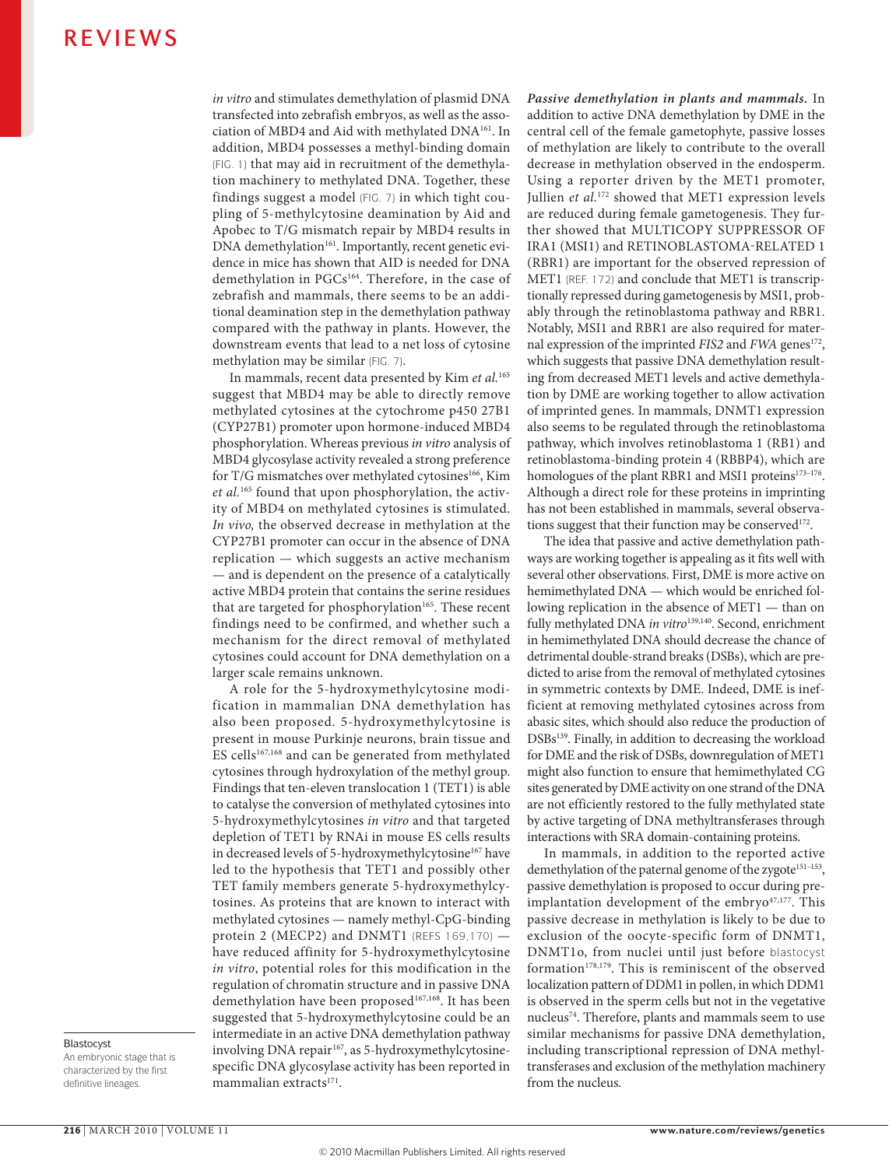*in vitro* and stimulates demethylation of plasmid DNA transfected into zebrafish embryos, as well as the association of MBD4 and Aid with methylated DNA161. In addition, MBD4 possesses a methyl-binding domain (FIG. 1) that may aid in recruitment of the demethylation machinery to methylated DNA. Together, these findings suggest a model (FIG. 7) in which tight coupling of 5-methylcytosine deamination by Aid and Apobec to T/G mismatch repair by MBD4 results in DNA demethylation<sup>161</sup>. Importantly, recent genetic evidence in mice has shown that AID is needed for DNA demethylation in PGCs<sup>164</sup>. Therefore, in the case of zebrafish and mammals, there seems to be an additional deamination step in the demethylation pathway compared with the pathway in plants. However, the downstream events that lead to a net loss of cytosine methylation may be similar (FIG. 7).

In mammals, recent data presented by Kim *et al.*<sup>165</sup> suggest that MBD4 may be able to directly remove methylated cytosines at the cytochrome p450 27B1 (CYP27B1) promoter upon hormone-induced MBD4 phosphorylation. Whereas previous *in vitro* analysis of MBD4 glycosylase activity revealed a strong preference for T/G mismatches over methylated cytosines<sup>166</sup>, Kim *et al.*165 found that upon phosphorylation, the activity of MBD4 on methylated cytosines is stimulated. *In vivo,* the observed decrease in methylation at the CYP27B1 promoter can occur in the absence of DNA replication — which suggests an active mechanism — and is dependent on the presence of a catalytically active MBD4 protein that contains the serine residues that are targeted for phosphorylation<sup>165</sup>. These recent findings need to be confirmed, and whether such a mechanism for the direct removal of methylated cytosines could account for DNA demethylation on a larger scale remains unknown.

A role for the 5-hydroxymethylcytosine modification in mammalian DNA demethylation has also been proposed. 5-hydroxymethylcytosine is present in mouse Purkinje neurons, brain tissue and ES cells<sup>167,168</sup> and can be generated from methylated cytosines through hydroxylation of the methyl group. Findings that ten-eleven translocation 1 (TET1) is able to catalyse the conversion of methylated cytosines into 5-hydroxymethylcytosines *in vitro* and that targeted depletion of TET1 by RNAi in mouse ES cells results in decreased levels of 5-hydroxymethylcytosine<sup>167</sup> have led to the hypothesis that TET1 and possibly other TET family members generate 5-hydroxymethylcytosines. As proteins that are known to interact with methylated cytosines — namely methyl-CpG-binding protein 2 (MECP2) and DNMT1 (REFS 169,170) have reduced affinity for 5-hydroxymethylcytosine *in vitro*, potential roles for this modification in the regulation of chromatin structure and in passive DNA demethylation have been proposed<sup>167,168</sup>. It has been suggested that 5-hydroxymethylcytosine could be an intermediate in an active DNA demethylation pathway involving DNA repair<sup>167</sup>, as 5-hydroxymethylcytosinespecific DNA glycosylase activity has been reported in mammalian extracts<sup>171</sup>.

*Passive demethylation in plants and mammals.* In addition to active DNA demethylation by DME in the central cell of the female gametophyte, passive losses of methylation are likely to contribute to the overall decrease in methylation observed in the endosperm. Using a reporter driven by the MET1 promoter, Jullien *et al.*<sup>172</sup> showed that MET1 expression levels are reduced during female gametogenesis. They further showed that MULTICOPY SUPPRESSOR OF IRA1 (MSI1) and RETINOBLASTOMA-RELATED 1 (RBR1) are important for the observed repression of MET1 (REF. 172) and conclude that MET1 is transcriptionally repressed during gametogenesis by MSI1, probably through the retinoblastoma pathway and RBR1. Notably, MSI1 and RBR1 are also required for maternal expression of the imprinted *FIS2* and *FWA* genes<sup>172</sup>, which suggests that passive DNA demethylation resulting from decreased MET1 levels and active demethylation by DME are working together to allow activation of imprinted genes. In mammals, DNMT1 expression also seems to be regulated through the retinoblastoma pathway, which involves retinoblastoma 1 (RB1) and retinoblastoma-binding protein 4 (RBBP4), which are homologues of the plant RBR1 and MSI1 proteins<sup>173-176</sup>. Although a direct role for these proteins in imprinting has not been established in mammals, several observations suggest that their function may be conserved $172$ .

The idea that passive and active demethylation pathways are working together is appealing as it fits well with several other observations. First, DME is more active on hemimethylated DNA — which would be enriched following replication in the absence of MET1 — than on fully methylated DNA *in vitro*<sup>139,140</sup>. Second, enrichment in hemimethylated DNA should decrease the chance of detrimental double-strand breaks (DSBs), which are predicted to arise from the removal of methylated cytosines in symmetric contexts by DME. Indeed, DME is inefficient at removing methylated cytosines across from abasic sites, which should also reduce the production of DSBs<sup>139</sup>. Finally, in addition to decreasing the workload for DME and the risk of DSBs, downregulation of MET1 might also function to ensure that hemimethylated CG sites generated by DME activity on one strand of the DNA are not efficiently restored to the fully methylated state by active targeting of DNA methyltransferases through interactions with SRA domain-containing proteins.

In mammals, in addition to the reported active demethylation of the paternal genome of the zygote<sup>151-153</sup>, passive demethylation is proposed to occur during preimplantation development of the embryo $47,177$ . This passive decrease in methylation is likely to be due to exclusion of the oocyte-specific form of DNMT1, DNMT1o, from nuclei until just before blastocyst formation $178,179$ . This is reminiscent of the observed localization pattern of DDM1 in pollen, in which DDM1 is observed in the sperm cells but not in the vegetative nucleus<sup>74</sup>. Therefore, plants and mammals seem to use similar mechanisms for passive DNA demethylation, including transcriptional repression of DNA methyltransferases and exclusion of the methylation machinery from the nucleus.

### Blastocyst

An embryonic stage that is characterized by the first definitive lineages.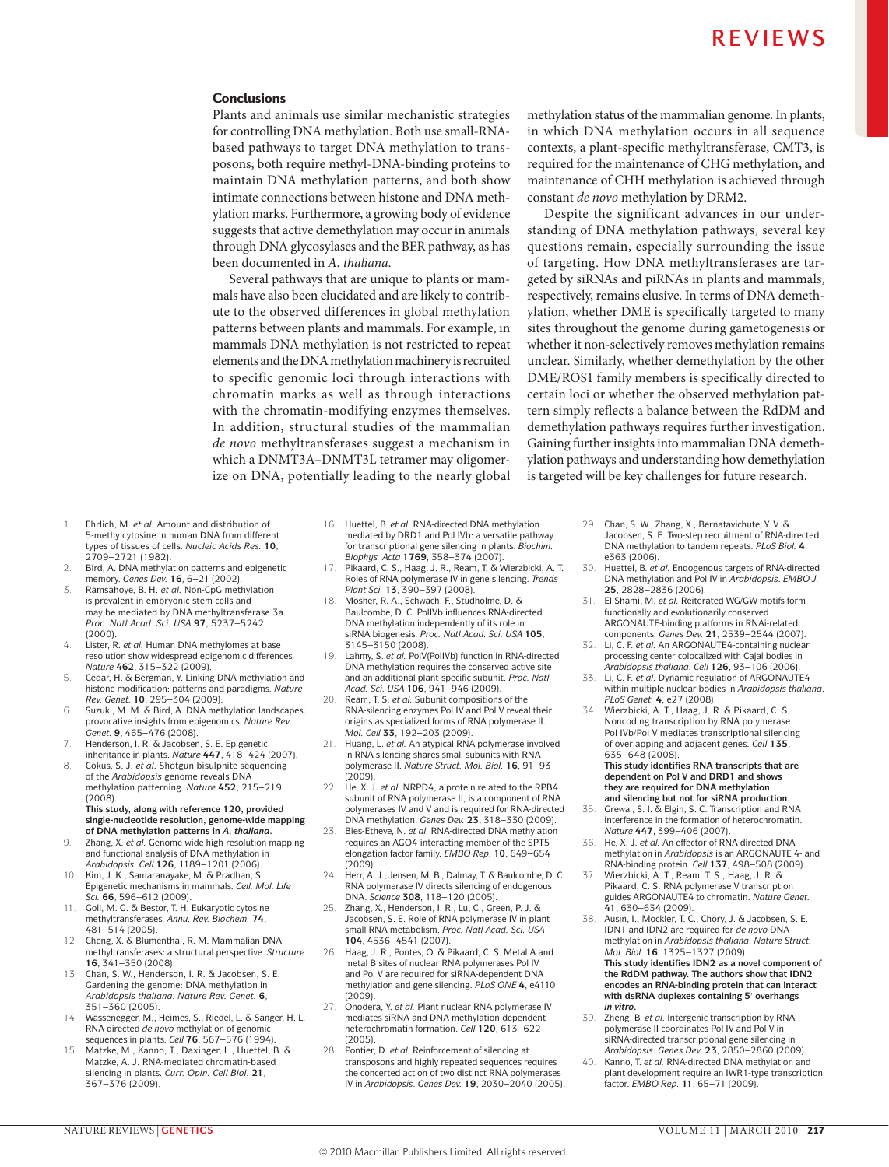### **Conclusions**

Plants and animals use similar mechanistic strategies for controlling DNA methylation. Both use small-RNAbased pathways to target DNA methylation to transposons, both require methyl-DNA-binding proteins to maintain DNA methylation patterns, and both show intimate connections between histone and DNA methylation marks. Furthermore, a growing body of evidence suggests that active demethylation may occur in animals through DNA glycosylases and the BER pathway, as has been documented in *A. thaliana*.

Several pathways that are unique to plants or mammals have also been elucidated and are likely to contribute to the observed differences in global methylation patterns between plants and mammals. For example, in mammals DNA methylation is not restricted to repeat elements and the DNA methylation machinery is recruited to specific genomic loci through interactions with chromatin marks as well as through interactions with the chromatin-modifying enzymes themselves. In addition, structural studies of the mammalian *de novo* methyltransferases suggest a mechanism in which a DNMT3A–DNMT3L tetramer may oligomerize on DNA, potentially leading to the nearly global

methylation status of the mammalian genome. In plants, in which DNA methylation occurs in all sequence contexts, a plant-specific methyltransferase, CMT3, is required for the maintenance of CHG methylation, and maintenance of CHH methylation is achieved through constant *de novo* methylation by DRM2.

Despite the significant advances in our understanding of DNA methylation pathways, several key questions remain, especially surrounding the issue of targeting. How DNA methyltransferases are targeted by siRNAs and piRNAs in plants and mammals, respectively, remains elusive. In terms of DNA demethylation, whether DME is specifically targeted to many sites throughout the genome during gametogenesis or whether it non-selectively removes methylation remains unclear. Similarly, whether demethylation by the other DME/ROS1 family members is specifically directed to certain loci or whether the observed methylation pattern simply reflects a balance between the RdDM and demethylation pathways requires further investigation. Gaining further insights into mammalian DNA demethylation pathways and understanding how demethylation is targeted will be key challenges for future research.

- 1. Ehrlich, M. *et al.* Amount and distribution of 5-methylcytosine in human DNA from different types of tissues of cells. *Nucleic Acids Res.* **10**, 2709–2721 (1982).
- Bird, A. DNA methylation patterns and epigenetic memory. *Genes Dev.* **16**, 6–21 (2002).
- 3. Ramsahoye, B. H. *et al.* Non-CpG methylation is prevalent in embryonic stem cells and may be mediated by DNA methyltransferase 3a. *Proc. Natl Acad. Sci. USA* **97**, 5237–5242 (2000).
- Lister, R. *et al.* Human DNA methylomes at base resolution show widespread epigenomic differences. *Nature* **462**, 315–322 (2009).
- 5. Cedar, H. & Bergman, Y. Linking DNA methylation and histone modification: patterns and paradigms. *Nature Rev. Genet.* **10**, 295–304 (2009).
- 6. Suzuki, M. M. & Bird, A. DNA methylation landscapes: provocative insights from epigenomics. *Nature Rev. Genet.* **9**, 465–476 (2008).
- 7. Henderson, I. R. & Jacobsen, S. E. Epigenetic inheritance in plants. *Nature* **447**, 418–424 (2007).
- 8. Cokus, S. J. *et al.* Shotgun bisulphite sequencing of the *Arabidopsis* genome reveals DNA methylation patterning. *Nature* **452**, 215–219 (2008). **This study, along with reference 120, provided single-nucleotide resolution, genome-wide mapping**
- **of DNA methylation patterns in** *A. thaliana***.** 9. Zhang, X. *et al.* Genome-wide high-resolution mapping and functional analysis of DNA methylation in *Arabidopsis*. *Cell* **126**, 1189–1201 (2006).
- Kim, J. K., Samaranayake, M. & Pradhan, S. Epigenetic mechanisms in mammals. *Cell. Mol. Life Sci.* **66**, 596–612 (2009).
- 11. Goll, M. G. & Bestor, T. H. Eukaryotic cytosine methyltransferases. *Annu. Rev. Biochem.* **74**, 481–514 (2005).
- 12. Cheng, X. & Blumenthal, R. M. Mammalian DNA methyltransferases: a structural perspective. *Structure* **16**, 341–350 (2008).
- 13. Chan, S. W., Henderson, I. R. & Jacobsen, S. E. Gardening the genome: DNA methylation in *Arabidopsis thaliana*. *Nature Rev. Genet.* **6**, 351–360 (2005).
- 14. Wassenegger, M., Heimes, S., Riedel, L. & Sanger, H. L. RNA-directed *de novo* methylation of genomic sequences in plants. *Cell* **76**, 567–576 (1994).
- 15. Matzke, M., Kanno, T., Daxinger, L., Huettel, B. & Matzke, A. J. RNA-mediated chromatin-based silencing in plants. *Curr. Opin. Cell Biol.* **21**, 367–376 (2009).
- 16. Huettel, B. *et al.* RNA-directed DNA methylation mediated by DRD1 and Pol IVb: a versatile pathway for transcriptional gene silencing in plants. *Biochim. Biophys. Acta* **1769**, 358–374 (2007).
- Pikaard, C. S., Haag, J. R., Ream, T. & Wierzbicki, A. T. Roles of RNA polymerase IV in gene silencing. *Trends Plant Sci.* **13**, 390–397 (2008).
- 18. Mosher, R. A., Schwach, F., Studholme, D. & Baulcombe, D. C. PolIVb influences RNA-directed DNA methylation independently of its role in siRNA biogenesis. *Proc. Natl Acad. Sci. USA* **105**, 3145–3150 (2008).
- 19. Lahmy, S. *et al.* PolV(PolIVb) function in RNA-directed DNA methylation requires the conserved active site and an additional plant-specific subunit. *Proc. Natl Acad. Sci. USA* **106**, 941–946 (2009).
- 20. Ream, T. S. *et al.* Subunit compositions of the RNA-silencing enzymes Pol IV and Pol V reveal their origins as specialized forms of RNA polymerase II. *Mol. Cell* **33**, 192–203 (2009).
- 21. Huang, L. *et al.* An atypical RNA polymerase involved in RNA silencing shares small subunits with RNA polymerase II. *Nature Struct. Mol. Biol.* **16**, 91–93 (2009).
- 22. He, X. J. *et al.* NRPD4, a protein related to the RPB4 subunit of RNA polymerase II, is a component of RNA polymerases IV and V and is required for RNA-directed DNA methylation. *Genes Dev.* **23**, 318–330 (2009).
- 23. Bies-Etheve, N. *et al.* RNA-directed DNA methylation requires an AGO4-interacting member of the SPT5 elongation factor family. *EMBO Rep.* **10**, 649–654 (2009).
- Herr, A. J., Jensen, M. B., Dalmay, T. & Baulcombe, D. C. RNA polymerase IV directs silencing of endogenous DNA. *Science* **308**, 118–120 (2005).
- 25. Zhang, X., Henderson, I. R., Lu, C., Green, P. J. & Jacobsen, S. E. Role of RNA polymerase IV in plant small RNA metabolism. *Proc. Natl Acad. Sci. USA* **104**, 4536–4541 (2007).
- 26. Haag, J. R., Pontes, O. & Pikaard, C. S. Metal A and metal B sites of nuclear RNA polymerases Pol IV and Pol V are required for siRNA-dependent DNA methylation and gene silencing. *PLoS ONE* **4**, e4110 (2009).
- 27. Onodera, Y. *et al.* Plant nuclear RNA polymerase IV mediates siRNA and DNA methylation-dependent heterochromatin formation. *Cell* **120**, 613–622 (2005).
- 28. Pontier, D. *et al.* Reinforcement of silencing at transposons and highly repeated sequences requires the concerted action of two distinct RNA polymera IV in *Arabidopsis*. *Genes Dev.* **19**, 2030–2040 (2005).
- 29. Chan, S. W., Zhang, X., Bernatavichute, Y. V. & Jacobsen, S. E. Two-step recruitment of RNA-directed DNA methylation to tandem repeats. *PLoS Biol.* **4**, e363 (2006).
- 30. Huettel, B. *et al.* Endogenous targets of RNA-directed DNA methylation and Pol IV in *Arabidopsis*. *EMBO J.* **25**, 2828–2836 (2006).
- 31. El-Shami, M. *et al.* Reiterated WG/GW motifs form functionally and evolutionarily conserved ARGONAUTE-binding platforms in RNAi-related components. *Genes Dev.* **21**, 2539–2544 (2007).
- 32. Li, C. F. *et al.* An ARGONAUTE4-containing nuclear processing center colocalized with Cajal bodies in
- *Arabidopsis thaliana*. *Cell* **126**, 93–106 (2006). 33. Li, C. F. *et al.* Dynamic regulation of ARGONAUTE4 within multiple nuclear bodies in *Arabidopsis thaliana*. *PLoS Genet.* **4**, e27 (2008).
- 34. Wierzbicki, A. T., Haag, J. R. & Pikaard, C. S. Noncoding transcription by RNA polymerase Pol IVb/Pol V mediates transcriptional silencing of overlapping and adjacent genes. *Cell* **135**, 635–648 (2008). **This study identifies RNA transcripts that are**

**dependent on Pol V and DRD1 and shows they are required for DNA methylation and silencing but not for siRNA production.**

- 35. Grewal, S. I. & Elgin, S. C. Transcription and RNA interference in the formation of heterochromatin. *Nature* **447**, 399–406 (2007).
- 36. He, X. J. *et al.* An effector of RNA-directed DNA methylation in *Arabidopsis* is an ARGONAUTE 4- and RNA-binding protein. *Cell* **137**, 498–508 (2009).
- 37. Wierzbicki, A. T., Ream, T. S., Haag, J. R. & Pikaard, C. S. RNA polymerase V transcription guides ARGONAUTE4 to chromatin. *Nature Genet.* **41**, 630–634 (2009).
- 38. Ausin, I., Mockler, T. C., Chory, J. & Jacobsen, S. E. IDN1 and IDN2 are required for *de novo* DNA methylation in *Arabidopsis thaliana*. *Nature Struct. Mol. Biol.* **16**, 1325–1327 (2009). **This study identifies IDN2 as a novel component of the RdDM pathway. The authors show that IDN2 encodes an RNA-binding protein that can interact with dsRNA duplexes containing 5**′ **overhangs**  *in vitro***.**
- 39. Zheng, B. *et al.* Intergenic transcription by RNA polymerase II coordinates Pol IV and Pol V in siRNA-directed transcriptional gene silencing in *Arabidopsis*. *Genes Dev.* **23**, 2850–2860 (2009).
- 40. Kanno, T. *et al.* RNA-directed DNA methylation and plant development require an IWR1-type transcription factor. *EMBO Rep.* **11**, 65–71 (2009).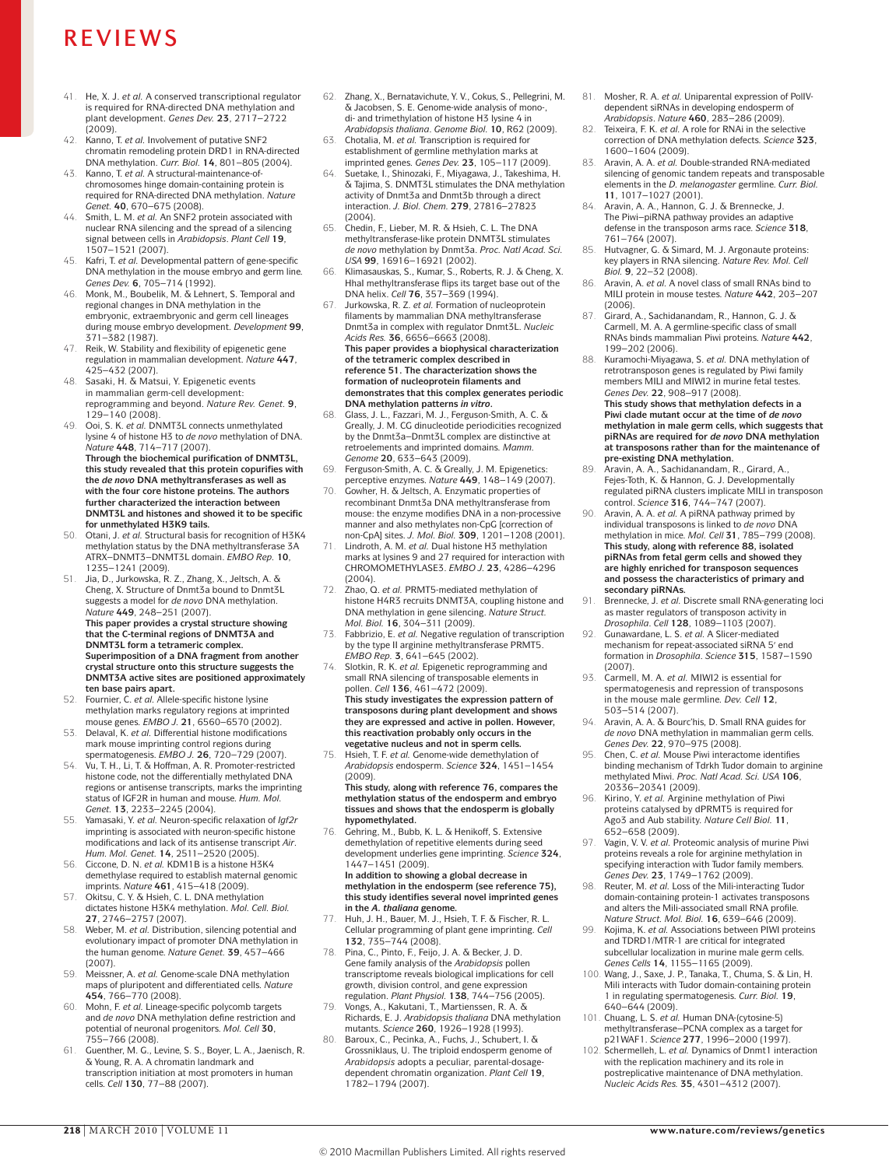- 41. He, X. J. *et al.* A conserved transcriptional regulator is required for RNA-directed DNA methylation and plant development. *Genes Dev.* **23**, 2717–2722 (2009).
- 42. Kanno, T. *et al.* Involvement of putative SNF2 chromatin remodeling protein DRD1 in RNA-directed DNA methylation. *Curr. Biol.* **14**, 801–805 (2004).
- 43. Kanno, T. *et al.* A structural-maintenance-ofchromosomes hinge domain-containing protein is required for RNA-directed DNA methylation. *Nature Genet.* **40**, 670–675 (2008).
- 44. Smith, L. M. *et al.* An SNF2 protein associated with nuclear RNA silencing and the spread of a silencing signal between cells in *Arabidopsis*. *Plant Cell* **19**, 1507–1521 (2007).
- 45. Kafri, T. *et al.* Developmental pattern of gene-specific DNA methylation in the mouse embryo and germ line. *Genes Dev.* **6**, 705–714 (1992).
- 46. Monk, M., Boubelik, M. & Lehnert, S. Temporal and regional changes in DNA methylation in the embryonic, extraembryonic and germ cell lineages during mouse embryo development. *Development* **99**, 371–382 (1987).
- 47. Reik, W. Stability and flexibility of epigenetic gene regulation in mammalian development. *Nature* **447**, 425–432 (2007).
- 48. Sasaki, H. & Matsui, Y. Epigenetic events in mammalian germ-cell development: reprogramming and beyond. *Nature Rev. Genet.* **9**, 129–140 (2008).
- 49. Ooi, S. K. *et al.* DNMT3L connects unmethylated lysine 4 of histone H3 to *de novo* methylation of DNA. *Nature* **448**, 714–717 (2007). **Through the biochemical purification of DNMT3L, this study revealed that this protein copurifies with the** *de novo* **DNA methyltransferases as well as with the four core histone proteins. The authors further characterized the interaction between DNMT3L and histones and showed it to be specific for unmethylated H3K9 tails.**
- 50. Otani, J. *et al.* Structural basis for recognition of H3K4 methylation status by the DNA methyltransferase 3A ATRX–DNMT3–DNMT3L domain. *EMBO Rep.* **10**, 1235–1241 (2009).
- Jia, D., Jurkowska, R. Z., Zhang, X., Jeltsch, A. & Cheng, X. Structure of Dnmt3a bound to Dnmt3L suggests a model for *de novo* DNA methylation. *Nature* **449**, 248–251 (2007). **This paper provides a crystal structure showing**

**that the C-terminal regions of DNMT3A and DNMT3L form a tetrameric complex. Superimposition of a DNA fragment from another crystal structure onto this structure suggests the DNMT3A active sites are positioned approximately ten base pairs apart.**

- 52. Fournier, C. *et al.* Allele-specific histone lysine methylation marks regulatory regions at imprinted mouse genes. *EMBO J.* **21**, 6560–6570 (2002).
- 53. Delaval, K. *et al.* Differential histone modifications mark mouse imprinting control regions during spermatogenesis. *EMBO J.* **26**, 720–729 (2007).
- 54. Vu, T. H., Li, T. & Hoffman, A. R. Promoter-restricted histone code, not the differentially methylated DNA regions or antisense transcripts, marks the imprinting status of IGF2R in human and mouse. *Hum. Mol. Genet.* **13**, 2233–2245 (2004).
- 55. Yamasaki, Y. *et al.* Neuron-specific relaxation of *Igf2r* imprinting is associated with neuron-specific histone modifications and lack of its antisense transcript *Air*. *Hum. Mol. Genet.* **14**, 2511–2520 (2005).
- 56. Ciccone, D. N. *et al.* KDM1B is a histone H3K4 demethylase required to establish maternal genomic imprints. *Nature* **461**, 415–418 (2009).
- 57. Okitsu, C. Y. & Hsieh, C. L. DNA methylation dictates histone H3K4 methylation. *Mol. Cell. Biol.* **27**, 2746–2757 (2007).
- 58. Weber, M. *et al.* Distribution, silencing potential and evolutionary impact of promoter DNA methylation in the human genome. *Nature Genet.* **39**, 457–466 (2007).
- 59. Meissner, A. *et al.* Genome-scale DNA methylation maps of pluripotent and differentiated cells. *Nature* **454**, 766–770 (2008).
- Mohn, F. et al. Lineage-specific polycomb targets and *de novo* DNA methylation define restriction and potential of neuronal progenitors. *Mol. Cell* **30**, 755–766 (2008).
- 61. Guenther, M. G., Levine, S. S., Boyer, L. A., Jaenisch, R. & Young, R. A. A chromatin landmark and transcription initiation at most promoters in human cells. *Cell* **130**, 77–88 (2007).
- 62. Zhang, X., Bernatavichute, Y. V., Cokus, S., Pellegrini, M.  $\&$  Jacobsen, S. E. Genome-wide analysis of monodi- and trimethylation of histone H3 lysine 4 in *Arabidopsis thaliana*. *Genome Biol.* **10**, R62 (2009).
- 63. Chotalia, M. *et al.* Transcription is required for establishment of germline methylation marks at imprinted genes. *Genes Dev.* **23**, 105–117 (2009).
- 64. Suetake, I., Shinozaki, F., Miyagawa, J., Takeshima, H. & Tajima, S. DNMT3L stimulates the DNA methylation activity of Dnmt3a and Dnmt3b through a direct interaction. *J. Biol. Chem.* **279**, 27816–27823 (2004).
- 65. Chedin, F., Lieber, M. R. & Hsieh, C. L. The DNA methyltransferase-like protein DNMT3L stimulates *de novo* methylation by Dnmt3a. *Proc. Natl Acad. Sci. USA* **99**, 16916–16921 (2002).
- 66. Klimasauskas, S., Kumar, S., Roberts, R. J. & Cheng, X. HhaI methyltransferase flips its target base out of the DNA helix. *Cell* **76**, 357–369 (1994).
- 67. Jurkowska, R. Z. *et al.* Formation of nucleoprotein filaments by mammalian DNA methyltransferase Dnmt3a in complex with regulator Dnmt3L. *Nucleic Acids Res.* **36**, 6656–6663 (2008). **This paper provides a biophysical characterization of the tetrameric complex described in reference 51. The characterization shows the formation of nucleoprotein filaments and demonstrates that this complex generates periodic DNA methylation patterns** *in vitro***.**
- 68. Glass, J. L., Fazzari, M. J., Ferguson-Smith, A. C. & Greally, J. M. CG dinucleotide periodicities recognized by the Dnmt3a–Dnmt3L complex are distinctive at retroelements and imprinted domains. *Mamm. Genome* **20**, 633–643 (2009).
- 69. Ferguson-Smith, A. C. & Greally, J. M. Epigenetics: perceptive enzymes. *Nature* **449**, 148–149 (2007).
- 70. Gowher, H. & Jeltsch, A. Enzymatic properties of recombinant Dnmt3a DNA methyltransferase from mouse: the enzyme modifies DNA in a non-processive manner and also methylates non-CpG [correction of non-CpA] sites. *J. Mol. Biol.* **309**, 1201–1208 (2001).
- 71. Lindroth, A. M. *et al.* Dual histone H3 methylation marks at lysines 9 and 27 required for interaction with CHROMOMETHYLASE3. *EMBO J.* **23**, 4286–4296 (2004).
- 72. Zhao, Q. *et al.* PRMT5-mediated methylation of histone H4R3 recruits DNMT3A, coupling histone and DNA methylation in gene silencing. *Nature Struct. Mol. Biol.* **16**, 304–311 (2009).
- Fabbrizio, E. *et al.* Negative regulation of transcription by the type II arginine methyltransferase PRMT5. *EMBO Rep.* **3**, 641–645 (2002).
- 74. Slotkin, R. K. *et al.* Epigenetic reprogramming and small RNA silencing of transposable elements in pollen. *Cell* **136**, 461–472 (2009). **This study investigates the expression pattern of transposons during plant development and shows they are expressed and active in pollen. However, this reactivation probably only occurs in the vegetative nucleus and not in sperm cells.**
- 75. Hsieh, T. F. *et al.* Genome-wide demethylation of *Arabidopsis* endosperm. *Science* **324**, 1451–1454 (2009).

**This study, along with reference 76, compares the methylation status of the endosperm and embryo tissues and shows that the endosperm is globally hypomethylated.**

- 76. Gehring, M., Bubb, K. L. & Henikoff, S. Extensive demethylation of repetitive elements during seed development underlies gene imprinting. *Science* **324**, 1447–1451 (2009). **In addition to showing a global decrease in methylation in the endosperm (see reference 75), this study identifies several novel imprinted genes**
- **in the** *A. thaliana* **genome.** 77. Huh, J. H., Bauer, M. J., Hsieh, T. F. & Fischer, R. L. Cellular programming of plant gene imprinting. *Cell* **132**, 735–744 (2008).
- 78. Pina, C., Pinto, F., Feijo, J. A. & Becker, J. D. Gene family analysis of the *Arabidopsis* pollen transcriptome reveals biological implications for cell growth, division control, and gene expression regulation. *Plant Physiol.* **138**, 744–756 (2005).
- Vongs, A., Kakutani, T., Martienssen, R. A. & Richards, E. J. *Arabidopsis thaliana* DNA methylation mutants. *Science* **260**, 1926–1928 (1993). 80. Baroux, C., Pecinka, A., Fuchs, J., Schubert, I. &
- Grossniklaus, U. The triploid endosperm genome of *Arabidopsis* adopts a peculiar, parental-dosagedependent chromatin organization. *Plant Cell* **19**, 1782–1794 (2007).
- 81. Mosher, R. A. *et al.* Uniparental expression of PolIVdependent siRNAs in developing endosperm of *Arabidopsis*. *Nature* **460**, 283–286 (2009).
- 82. Teixeira, F. K. *et al.* A role for RNAi in the selective correction of DNA methylation defects. *Science* **323**, 1600–1604 (2009).
- 83. Aravin, A. A. *et al.* Double-stranded RNA-mediated silencing of genomic tandem repeats and transposable elements in the *D. melanogaster* germline. *Curr. Biol.* **11**, 1017–1027 (2001).
- 84. Aravin, A. A., Hannon, G. J. & Brennecke, J. The Piwi–piRNA pathway provides an adaptive defense in the transposon arms race. *Science* **318**, 761–764 (2007).
- 85. Hutvagner, G. & Simard, M. J. Argonaute proteins: key players in RNA silencing. *Nature Rev. Mol. Cell Biol.* **9**, 22–32 (2008).
- 86. Aravin, A. *et al.* A novel class of small RNAs bind to MILI protein in mouse testes. *Nature* **442**, 203–207 (2006).
- 87. Girard, A., Sachidanandam, R., Hannon, G. J. & Carmell, M. A. A germline-specific class of small RNAs binds mammalian Piwi proteins. *Nature* **442**, 199–202 (2006).
- 88. Kuramochi-Miyagawa, S. *et al.* DNA methylation of retrotransposon genes is regulated by Piwi family members MILI and MIWI2 in murine fetal testes. *Genes Dev.* **22**, 908–917 (2008).

**This study shows that methylation defects in a Piwi clade mutant occur at the time of** *de novo* **methylation in male germ cells, which suggests that piRNAs are required for** *de novo* **DNA methylation at transposons rather than for the maintenance of pre-existing DNA methylation.**

- 89. Aravin, A. A., Sachidanandam, R., Girard, A., Fejes-Toth, K. & Hannon, G. J. Developmentally regulated piRNA clusters implicate MILI in transposon control. *Science* **316**, 744–747 (2007).
- Aravin, A. A. *et al.* A piRNA pathway primed by individual transposons is linked to *de novo* DNA methylation in mice. *Mol. Cell* **31**, 785–799 (2008). **This study, along with reference 88, isolated piRNAs from fetal germ cells and showed they are highly enriched for transposon sequences and possess the characteristics of primary and secondary piRNAs.**
- 91. Brennecke, J. *et al.* Discrete small RNA-generating loci as master regulators of transposon activity in *Drosophila*. *Cell* **128**, 1089–1103 (2007).
- 92. Gunawardane, L. S. *et al.* A Slicer-mediated mechanism for repeat-associated siRNA 5′ end formation in *Drosophila*. *Science* **315**, 1587–1590 (2007).
- 93. Carmell, M. A. *et al.* MIWI2 is essential for spermatogenesis and repression of transposons in the mouse male germline. *Dev. Cell* **12**, 503–514 (2007).
- 94. Aravin, A. A. & Bourc'his, D. Small RNA guides for *de novo* DNA methylation in mammalian germ cells. *Genes Dev.* **22**, 970–975 (2008).
- 95. Chen, C. *et al.* Mouse Piwi interactome identifies binding mechanism of Tdrkh Tudor domain to arginine methylated Miwi. *Proc. Natl Acad. Sci. USA* **106**,
- 20336–20341 (2009). 96. Kirino, Y. *et al.* Arginine methylation of Piwi proteins catalysed by dPRMT5 is required for Ago3 and Aub stability. *Nature Cell Biol.* **11**, 652–658 (2009).
- 97. Vagin, V. V. *et al.* Proteomic analysis of murine Piwi proteins reveals a role for arginine methylation in specifying interaction with Tudor family members. *Genes Dev.* **23**, 1749–1762 (2009).
- 98. Reuter, M. *et al.* Loss of the Mili-interacting Tudor domain-containing protein-1 activates transposons and alters the Mili-associated small RNA profile. *Nature Struct. Mol. Biol.* **16**, 639–646 (2009).
- 99. Kojima, K. *et al.* Associations between PIWI proteins and TDRD1/MTR-1 are critical for integrated subcellular localization in murine male germ cells.
- *Genes Cells* **14**, 1155–1165 (2009). 100. Wang, J., Saxe, J. P., Tanaka, T., Chuma, S. & Lin, H. Mili interacts with Tudor domain-containing protein 1 in regulating spermatogenesis. *Curr. Biol.* **19**, 640–644 (2009).
- 101. Chuang, L. S. *et al.* Human DNA-(cytosine-5) methyltransferase–PCNA complex as a target for p21WAF1. *Science* **277**, 1996–2000 (1997).
- 102. Schermelleh, L. *et al.* Dynamics of Dnmt1 interaction with the replication machinery and its role in postreplicative maintenance of DNA methylation. *Nucleic Acids Res.* **35**, 4301–4312 (2007).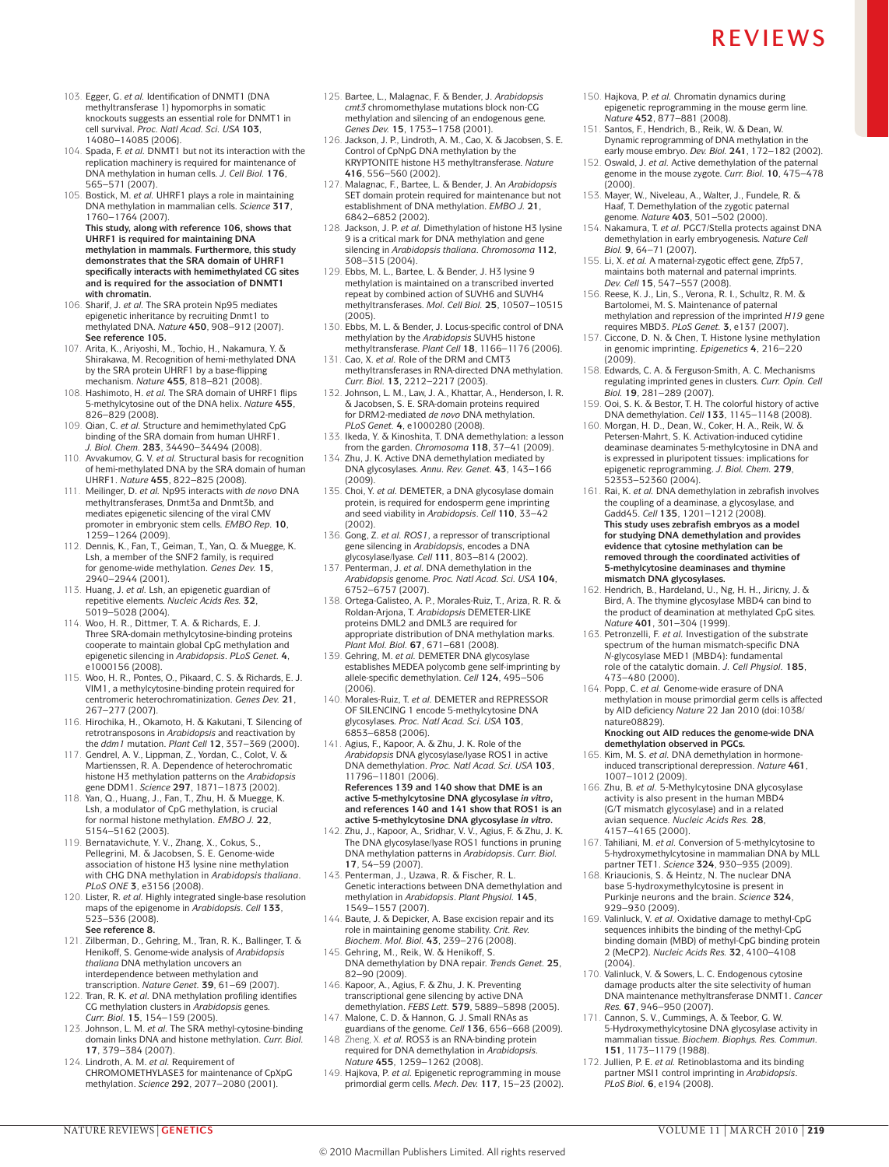- 103. Egger, G. *et al.* Identification of DNMT1 (DNA methyltransferase 1) hypomorphs in somatic knockouts suggests an essential role for DNMT1 in cell survival. *Proc. Natl Acad. Sci. USA* **103**, 14080–14085 (2006).
- 104. Spada, F. *et al.* DNMT1 but not its interaction with the replication machinery is required for maintenance of DNA methylation in human cells. *J. Cell Biol.* **176**, 565–571 (2007).
- 105. Bostick, M. *et al.* UHRF1 plays a role in maintaining DNA methylation in mammalian cells. *Science* **317**, 1760–1764 (2007). **This study, along with reference 106, shows that UHRF1 is required for maintaining DNA**

**methylation in mammals. Furthermore, this study demonstrates that the SRA domain of UHRF1 specifically interacts with hemimethylated CG sites and is required for the association of DNMT1 with chromatin.**

- 106. Sharif, J. *et al.* The SRA protein Np95 mediates epigenetic inheritance by recruiting Dnmt1 to methylated DNA. *Nature* **450**, 908–912 (2007). **See reference 105.**
- 107. Arita, K., Ariyoshi, M., Tochio, H., Nakamura, Y. & Shirakawa, M. Recognition of hemi-methylated DNA by the SRA protein UHRF1 by a base-flipping mechanism. *Nature* **455**, 818–821 (2008).
- 108. Hashimoto, H. *et al.* The SRA domain of UHRF1 flips 5-methylcytosine out of the DNA helix. *Nature* **455**, 826–829 (2008).
- 109. Qian, C. *et al.* Structure and hemimethylated CpG binding of the SRA domain from human UHRF1. *J. Biol. Chem.* **283**, 34490–34494 (2008).
- 110. Avvakumov, G. V. *et al.* Structural basis for recognition of hemi-methylated DNA by the SRA domain of human
- UHRF1. *Nature* **455**, 822–825 (2008). 111. Meilinger, D. *et al.* Np95 interacts with *de novo* DNA methyltransferases, Dnmt3a and Dnmt3b, and mediates epigenetic silencing of the viral CMV promoter in embryonic stem cells. *EMBO Rep.* **10**, 1259–1264 (2009).
- 112. Dennis, K., Fan, T., Geiman, T., Yan, Q. & Muegge, K. Lsh, a member of the SNF2 family, is required for genome-wide methylation. *Genes Dev.* **15**, 2940–2944 (2001).
- 113. Huang, J. *et al.* Lsh, an epigenetic guardian of repetitive elements. *Nucleic Acids Res.* **32**,
- 5019–5028 (2004). 114. Woo, H. R., Dittmer, T. A. & Richards, E. J. Three SRA-domain methylcytosine-binding proteins cooperate to maintain global CpG methylation and epigenetic silencing in *Arabidopsis*. *PLoS Genet.* **4**, e1000156 (2008).
- 115. Woo, H. R., Pontes, O., Pikaard, C. S. & Richards, E. J. VIM1, a methylcytosine-binding protein required for centromeric heterochromatinization. *Genes Dev.* **21**, 267–277 (2007).
- 116. Hirochika, H., Okamoto, H. & Kakutani, T. Silencing of retrotransposons in *Arabidopsis* and reactivation by the *ddm1* mutation. *Plant Cell* **12**, 357–369 (2000).
- 117. Gendrel, A. V., Lippman, Z., Yordan, C., Colot, V. & Martienssen, R. A. Dependence of heterochromatic histone H3 methylation patterns on the *Arabidopsis*
- gene DDM1. *Science* **297**, 1871–1873 (2002). 118. Yan, Q., Huang, J., Fan, T., Zhu, H. & Muegge, K. Lsh, a modulator of CpG methylation, is crucial for normal histone methylation. *EMBO J.* **22**, 5154–5162 (2003).
- 119. Bernatavichute, Y. V., Zhang, X., Cokus, S., Pellegrini, M. & Jacobsen, S. E. Genome-wide association of histone H3 lysine nine methylation with CHG DNA methylation in *Arabidopsis thaliana*. *PLoS ONE* **3**, e3156 (2008).
- 120. Lister, R. *et al.* Highly integrated single-base resolution maps of the epigenome in *Arabidopsis*. *Cell* **133**, 523–536 (2008). **See reference 8.**
- 121. Zilberman, D., Gehring, M., Tran, R. K., Ballinger, T. & Henikoff, S. Genome-wide analysis of *Arabidopsis thaliana* DNA methylation uncovers an interdependence between methylation and transcription. *Nature Genet.* **39**, 61–69 (2007).
- 122. Tran, R. K. *et al.* DNA methylation profiling identifies CG methylation clusters in *Arabidopsis* genes. *Curr. Biol.* **15**, 154–159 (2005). 123. Johnson, L. M. *et al.* The SRA methyl-cytosine-binding
- domain links DNA and histone methylation. *Curr. Biol.* **17**, 379–384 (2007).
- 124. Lindroth, A. M. *et al.* Requirement of CHROMOMETHYLASE3 for maintenance of CpXpG methylation. *Science* **292**, 2077–2080 (2001).
- 125. Bartee, L., Malagnac, F. & Bender, J. *Arabidopsis cmt3* chromomethylase mutations block non-CG methylation and silencing of an endogenous gene. *Genes Dev.* **15**, 1753–1758 (2001).
- 126. Jackson, J. P., Lindroth, A. M., Cao, X. & Jacobsen, S. E. Control of CpNpG DNA methylation by the KRYPTONITE histone H3 methyltransferase. *Nature* **416**, 556–560 (2002).
- 127. Malagnac, F., Bartee, L. & Bender, J. An *Arabidopsis* SET domain protein required for maintenance but not establishment of DNA methylation. *EMBO J.* **21**, 6842–6852 (2002).
- 128. Jackson, J. P. *et al.* Dimethylation of histone H3 lysine 9 is a critical mark for DNA methylation and gene silencing in *Arabidopsis thaliana*. *Chromosoma* **112**, 308–315 (2004).
- 129. Ebbs, M. L., Bartee, L. & Bender, J. H3 lysine 9 methylation is maintained on a transcribed inverted repeat by combined action of SUVH6 and SUVH4 methyltransferases. *Mol. Cell Biol.* **25**, 10507–10515 (2005).
- 130. Ebbs, M. L. & Bender, J. Locus-specific control of DNA methylation by the *Arabidopsis* SUVH5 histone methyltransferase. *Plant Cell* **18**, 1166–1176 (2006).
- 131. Cao, X. *et al.* Role of the DRM and CMT3 methyltransferases in RNA-directed DNA methylation. *Curr. Biol.* **13**, 2212–2217 (2003).
- 132. Johnson, L. M., Law, J. A., Khattar, A., Henderson, I. R. & Jacobsen, S. E. SRA-domain proteins required for DRM2-mediated *de novo* DNA methylation. *PLoS Genet.* **4**, e1000280 (2008).
- 133. Ikeda, Y. & Kinoshita, T. DNA demethylation: a lesson from the garden. *Chromosoma* **118**, 37–41 (2009).
- 134. Zhu, J. K. Active DNA demethylation mediated by DNA glycosylases. *Annu. Rev. Genet.* **43**, 143–166  $(2009)$
- 135. Choi, Y. *et al.* DEMETER, a DNA glycosylase domain protein, is required for endosperm gene imprinting and seed viability in *Arabidopsis*. *Cell* **110**, 33–42 (2002).
- 136. Gong, Z. *et al. ROS1*, a repressor of transcriptional gene silencing in *Arabidopsis*, encodes a DNA glycosylase/lyase. *Cell* **111**, 803–814 (2002).
- 137. Penterman, J. *et al.* DNA demethylation in the *Arabidopsis* genome. *Proc. Natl Acad. Sci. USA* **104**, 6752–6757 (2007).
- 138. Ortega-Galisteo, A. P., Morales-Ruiz, T., Ariza, R. R. & Roldan-Arjona, T. *Arabidopsis* DEMETER-LIKE proteins DML2 and DML3 are required for appropriate distribution of DNA methylation marks. *Plant Mol. Biol.* **67**, 671–681 (2008).
- 139. Gehring, M. *et al.* DEMETER DNA glycosylase establishes MEDEA polycomb gene self-imprinting by allele-specific demethylation. *Cell* **124**, 495–506 (2006).
- 140. Morales-Ruiz, T. *et al.* DEMETER and REPRESSOR OF SILENCING 1 encode 5-methylcytosine DNA glycosylases. *Proc. Natl Acad. Sci. USA* **103**, 6853–6858 (2006).
- 141. Agius, F., Kapoor, A. & Zhu, J. K. Role of the *Arabidopsis* DNA glycosylase/lyase ROS1 in active DNA demethylation. *Proc. Natl Acad. Sci. USA* **103**, 11796–11801 (2006).

**References 139 and 140 show that DME is an active 5-methylcytosine DNA glycosylase** *in vitro***, and references 140 and 141 show that ROS1 is an active 5-methylcytosine DNA glycosylase** *in vitro***.**

- 142. Zhu, J., Kapoor, A., Sridhar, V. V., Agius, F. & Zhu, J. K. The DNA glycosylase/lyase ROS1 functions in pruning DNA methylation patterns in *Arabidopsis*. *Curr. Biol.* **17**, 54–59 (2007).
- 143. Penterman, J., Uzawa, R. & Fischer, R. L. Genetic interactions between DNA demethylation and methylation in *Arabidopsis*. *Plant Physiol.* **145**, 1549–1557 (2007).
- 144. Baute, J. & Depicker, A. Base excision repair and its role in maintaining genome stability. *Crit. Rev. Biochem. Mol. Biol.* **43**, 239–276 (2008).
- 145. Gehring, M., Reik, W. & Henikoff, S. DNA demethylation by DNA repair. *Trends Genet.* **25**, 82–90 (2009).
- 146. Kapoor, A., Agius, F. & Zhu, J. K. Preventing transcriptional gene silencing by active DNA demethylation. *FEBS Lett.* **579**, 5889–5898 (2005).
- 147. Malone, C. D. & Hannon, G. J. Small RNAs as guardians of the genome. *Cell* **136**, 656–668 (2009). 148 Zheng, X. *et al.* ROS3 is an RNA-binding protein
- required for DNA demethylation in *Arabidopsis*. *Nature* **455**, 1259–1262 (2008).
- 149. Hajkova, P. *et al.* Epigenetic reprogramming in mouse primordial germ cells. *Mech. Dev.* **117**, 15–23 (2002).
- 150. Hajkova, P. *et al.* Chromatin dynamics during epigenetic reprogramming in the mouse germ line. *Nature* **452**, 877–881 (2008).
- 151. Santos, F., Hendrich, B., Reik, W. & Dean, W. Dynamic reprogramming of DNA methylation in the early mouse embryo. *Dev. Biol.* **241**, 172–182 (2002).
- 152. Oswald, J. *et al.* Active demethylation of the paternal genome in the mouse zygote. *Curr. Biol.* **10**, 475–478  $(2000)$
- 153. Mayer, W., Niveleau, A., Walter, J., Fundele, R. & Haaf, T. Demethylation of the zygotic paternal genome. *Nature* **403**, 501–502 (2000).
- 154. Nakamura, T. *et al.* PGC7/Stella protects against DNA demethylation in early embryogenesis. *Nature Cell Biol.* **9**, 64–71 (2007).
- 155. Li, X. *et al.* A maternal-zygotic effect gene, Zfp57, maintains both maternal and paternal imprints. *Dev. Cell* **15**, 547–557 (2008).
- 156. Reese, K. J., Lin, S., Verona, R. I., Schultz, R. M. & Bartolomei, M. S. Maintenance of paternal methylation and repression of the imprinted *H19* gene requires MBD3. *PLoS Genet.* **3**, e137 (2007).
- 157. Ciccone, D. N. & Chen, T. Histone lysine methylation in genomic imprinting. *Epigenetics* **4**, 216–220 (2009).
- 158. Edwards, C. A. & Ferguson-Smith, A. C. Mechanisms regulating imprinted genes in clusters. *Curr. Opin. Cell Biol.* **19**, 281–289 (2007).
- 159. Ooi, S. K. & Bestor, T. H. The colorful history of active DNA demethylation. *Cell* **133**, 1145–1148 (2008).
- 160. Morgan, H. D., Dean, W., Coker, H. A., Reik, W. & Petersen-Mahrt, S. K. Activation-induced cytidine deaminase deaminates 5-methylcytosine in DNA and is expressed in pluripotent tissues: implications for epigenetic reprogramming. *J. Biol. Chem.* **279**, 52353–52360 (2004).
- 161. Rai, K. *et al.* DNA demethylation in zebrafish involves the coupling of a deaminase, a glycosylase, and Gadd45. *Cell* **135**, 1201–1212 (2008). **This study uses zebrafish embryos as a model for studying DNA demethylation and provides evidence that cytosine methylation can be removed through the coordinated activities of 5-methylcytosine deaminases and thymine mismatch DNA glycosylases.**
- 162. Hendrich, B., Hardeland, U., Ng, H. H., Jiricny, J. & Bird, A. The thymine glycosylase MBD4 can bind to the product of deamination at methylated CpG sites. *Nature* **401**, 301–304 (1999).
- 163. Petronzelli, F. *et al.* Investigation of the substrate spectrum of the human mismatch-specific DNA *N*-glycosylase MED1 (MBD4): fundamental role of the catalytic domain. *J. Cell Physiol.* **185**, 473–480 (2000).
- 164. Popp, C. *et al.* Genome-wide erasure of DNA methylation in mouse primordial germ cells is affected by AID deficiency *Nature* 22 Jan 2010 (doi:1038/ nature08829).
	- **Knocking out AID reduces the genome-wide DNA demethylation observed in PGCs.**
- 165. Kim, M. S. *et al.* DNA demethylation in hormoneinduced transcriptional derepression. *Nature* **461**, 1007–1012 (2009).
- 166. Zhu, B. *et al.* 5-Methylcytosine DNA glycosylase activity is also present in the human MBD4 (G/T mismatch glycosylase) and in a related avian sequence. *Nucleic Acids Res.* **28**, 4157–4165 (2000).
- 167. Tahiliani, M. *et al.* Conversion of 5-methylcytosine to 5-hydroxymethylcytosine in mammalian DNA by MLL partner TET1. *Science* **324**, 930–935 (2009).
- 168. Kriaucionis, S. & Heintz, N. The nuclear DNA base 5-hydroxymethylcytosine is present in Purkinje neurons and the brain. *Science* **324**, 929–930 (2009).
- 169. Valinluck, V. *et al.* Oxidative damage to methyl-CpG sequences inhibits the binding of the methyl-CpG binding domain (MBD) of methyl-CpG binding protein 2 (MeCP2). *Nucleic Acids Res.* **32**, 4100–4108 (2004).
- 170. Valinluck, V. & Sowers, L. C. Endogenous cytosine damage products alter the site selectivity of human DNA maintenance methyltransferase DNMT1. *Cancer Res.* **67**, 946–950 (2007).
- 171. Cannon, S. V., Cummings, A. & Teebor, G. W. 5-Hydroxymethylcytosine DNA glycosylase activity in mammalian tissue. *Biochem. Biophys. Res. Commun.* **151**, 1173–1179 (1988).
- 172. Jullien, P. E. *et al.* Retinoblastoma and its binding partner MSI1 control imprinting in *Arabidopsis*. *PLoS Biol.* **6**, e194 (2008).